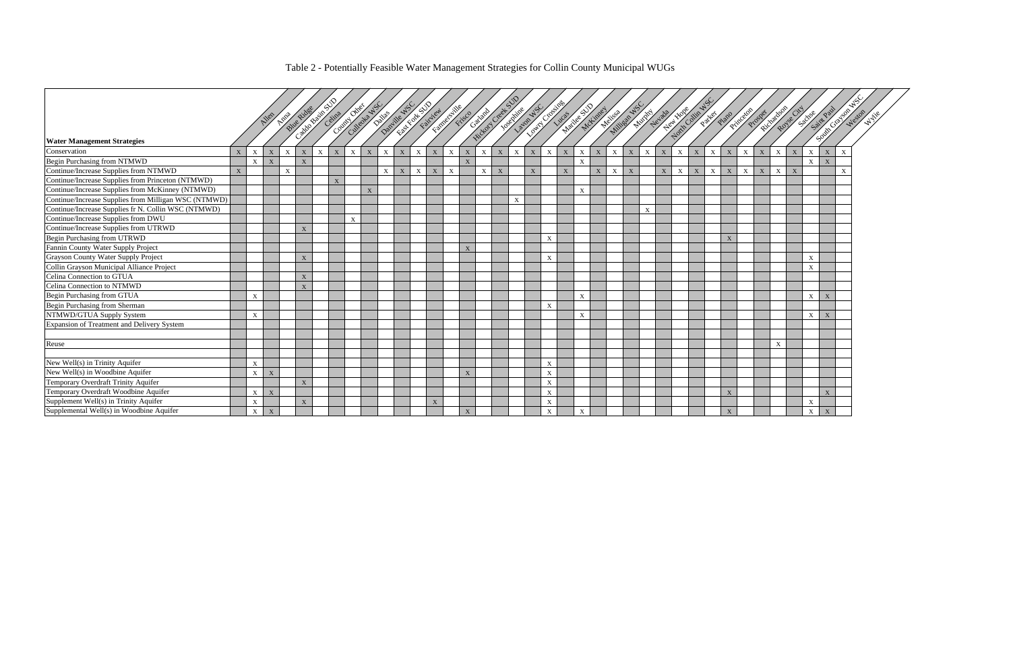# Table 2 - Potentially Feasible Water Management Strategies for Collin County Municipal WUGs

|                                                      |   |              |                           |                           | Blue Ridge   | Calgo Brief Column |             | Control direct<br>Cultedra WS |             | Dallas      | <b>Charles Rivers</b><br>Danille WS |             | Famebook River |                           |              | Gathard     | Hickory Creat | <b>TOSOFITARE</b> | Layon WS    | <b>Communities</b>        |             | Maillee SD   | Melbert Wall WS<br>McLimer |              |             |             | Hew Hole<br>Municipal da | North Colin NS |                           | Partes                    | Plano                     | Princeton                 | Richardson<br>Prosper |             | Royse City     | Sachsen      | SaintPaul<br>South Graven |              |
|------------------------------------------------------|---|--------------|---------------------------|---------------------------|--------------|--------------------|-------------|-------------------------------|-------------|-------------|-------------------------------------|-------------|----------------|---------------------------|--------------|-------------|---------------|-------------------|-------------|---------------------------|-------------|--------------|----------------------------|--------------|-------------|-------------|--------------------------|----------------|---------------------------|---------------------------|---------------------------|---------------------------|-----------------------|-------------|----------------|--------------|---------------------------|--------------|
| <b>Water Management Strategies</b>                   |   |              |                           |                           |              |                    |             |                               |             |             |                                     |             |                |                           |              |             |               |                   |             |                           |             |              |                            |              |             |             |                          |                |                           |                           |                           |                           |                       |             |                |              |                           |              |
| Conservation                                         | X | $\mathbf X$  | $\boldsymbol{\mathrm{X}}$ | $\boldsymbol{\mathrm{X}}$ | $\mathbf{X}$ | $\mathbf X$        | X           | $\mathbf{X}$                  | $\mathbf X$ | $\mathbf X$ | $\mathbf X$                         | $\mathbf X$ | $\mathbf X$    | $\mathbf{X}$              | $\mathbf X$  | $\mathbf X$ | $\mathbf X$   | $\mathbf X$       | $\mathbf X$ | $\mathbf X$               | $\mathbf X$ | $\mathbf X$  | $\mathbf{X}$               | $\mathbf{X}$ | $\mathbf X$ | $\mathbf X$ | $\mathbf X$              | $\mathbf{X}$   | $\boldsymbol{\mathrm{X}}$ | $\mathbf{X}$              | $\boldsymbol{\mathrm{X}}$ | $\mathbf X$               | $\mathbf X$           | $\mathbf X$ | $\overline{X}$ | $\mathbf{x}$ |                           | $\mathbf{x}$ |
| Begin Purchasing from NTMWD                          |   | $\mathbf{X}$ | $\mathbf{X}$              |                           | X            |                    |             |                               |             |             |                                     |             |                |                           | $\mathbf{X}$ |             |               |                   |             |                           |             | $\mathbf{X}$ |                            |              |             |             |                          |                |                           |                           |                           |                           |                       |             |                | $\mathbf{x}$ | $\overline{X}$            |              |
| Continue/Increase Supplies from NTMWD                | X |              |                           | $\boldsymbol{\mathrm{X}}$ |              |                    |             |                               |             | X           | X                                   | $\mathbf X$ | $\mathbf{X}$   | $\boldsymbol{\mathrm{X}}$ |              | X           | X             |                   | X           |                           | X           |              | X                          | $\mathbf{X}$ | $\mathbf X$ |             | X                        | $\mathbf{X}$   | X                         | $\boldsymbol{\mathrm{X}}$ | $\mathbf{X}$              | $\boldsymbol{\mathrm{X}}$ | $\mathbf X$           | X           | $\overline{X}$ |              |                           |              |
| Continue/Increase Supplies from Princeton (NTMWD)    |   |              |                           |                           |              |                    | $\mathbf X$ |                               |             |             |                                     |             |                |                           |              |             |               |                   |             |                           |             |              |                            |              |             |             |                          |                |                           |                           |                           |                           |                       |             |                |              |                           |              |
| Continue/Increase Supplies from McKinney (NTMWD)     |   |              |                           |                           |              |                    |             |                               | $\mathbf X$ |             |                                     |             |                |                           |              |             |               |                   |             |                           |             | $\mathbf X$  |                            |              |             |             |                          |                |                           |                           |                           |                           |                       |             |                |              |                           |              |
| Continue/Increase Supplies from Milligan WSC (NTMWD) |   |              |                           |                           |              |                    |             |                               |             |             |                                     |             |                |                           |              |             |               | $\mathbf X$       |             |                           |             |              |                            |              |             |             |                          |                |                           |                           |                           |                           |                       |             |                |              |                           |              |
| Continue/Increase Supplies fr N. Collin WSC (NTMWD)  |   |              |                           |                           |              |                    |             |                               |             |             |                                     |             |                |                           |              |             |               |                   |             |                           |             |              |                            |              |             | $\mathbf X$ |                          |                |                           |                           |                           |                           |                       |             |                |              |                           |              |
| Continue/Increase Supplies from DWU                  |   |              |                           |                           |              |                    |             | $\mathbf{x}$                  |             |             |                                     |             |                |                           |              |             |               |                   |             |                           |             |              |                            |              |             |             |                          |                |                           |                           |                           |                           |                       |             |                |              |                           |              |
| Continue/Increase Supplies from UTRWD                |   |              |                           |                           | $\mathbf{X}$ |                    |             |                               |             |             |                                     |             |                |                           |              |             |               |                   |             |                           |             |              |                            |              |             |             |                          |                |                           |                           |                           |                           |                       |             |                |              |                           |              |
| Begin Purchasing from UTRWD                          |   |              |                           |                           |              |                    |             |                               |             |             |                                     |             |                |                           |              |             |               |                   |             | X                         |             |              |                            |              |             |             |                          |                |                           |                           | $\boldsymbol{\mathrm{X}}$ |                           |                       |             |                |              |                           |              |
| Fannin County Water Supply Project                   |   |              |                           |                           |              |                    |             |                               |             |             |                                     |             |                |                           | $\mathbf{X}$ |             |               |                   |             |                           |             |              |                            |              |             |             |                          |                |                           |                           |                           |                           |                       |             |                |              |                           |              |
| Grayson County Water Supply Project                  |   |              |                           |                           | X            |                    |             |                               |             |             |                                     |             |                |                           |              |             |               |                   |             | $\mathbf{X}$              |             |              |                            |              |             |             |                          |                |                           |                           |                           |                           |                       |             |                | $\mathbf{X}$ |                           |              |
| Collin Grayson Municipal Alliance Project            |   |              |                           |                           |              |                    |             |                               |             |             |                                     |             |                |                           |              |             |               |                   |             |                           |             |              |                            |              |             |             |                          |                |                           |                           |                           |                           |                       |             |                | X            |                           |              |
| Celina Connection to GTUA                            |   |              |                           |                           | $\mathbf X$  |                    |             |                               |             |             |                                     |             |                |                           |              |             |               |                   |             |                           |             |              |                            |              |             |             |                          |                |                           |                           |                           |                           |                       |             |                |              |                           |              |
| Celina Connection to NTMWD                           |   |              |                           |                           | X            |                    |             |                               |             |             |                                     |             |                |                           |              |             |               |                   |             |                           |             |              |                            |              |             |             |                          |                |                           |                           |                           |                           |                       |             |                |              |                           |              |
| Begin Purchasing from GTUA                           |   | $\mathbf X$  |                           |                           |              |                    |             |                               |             |             |                                     |             |                |                           |              |             |               |                   |             |                           |             | $\mathbf X$  |                            |              |             |             |                          |                |                           |                           |                           |                           |                       |             |                | $\mathbf X$  | X                         |              |
| Begin Purchasing from Sherman                        |   |              |                           |                           |              |                    |             |                               |             |             |                                     |             |                |                           |              |             |               |                   |             | $\mathbf X$               |             |              |                            |              |             |             |                          |                |                           |                           |                           |                           |                       |             |                |              |                           |              |
| NTMWD/GTUA Supply System                             |   | $\mathbf{X}$ |                           |                           |              |                    |             |                               |             |             |                                     |             |                |                           |              |             |               |                   |             |                           |             | $\mathbf{X}$ |                            |              |             |             |                          |                |                           |                           |                           |                           |                       |             |                | X            | X                         |              |
| Expansion of Treatment and Delivery System           |   |              |                           |                           |              |                    |             |                               |             |             |                                     |             |                |                           |              |             |               |                   |             |                           |             |              |                            |              |             |             |                          |                |                           |                           |                           |                           |                       |             |                |              |                           |              |
|                                                      |   |              |                           |                           |              |                    |             |                               |             |             |                                     |             |                |                           |              |             |               |                   |             |                           |             |              |                            |              |             |             |                          |                |                           |                           |                           |                           |                       |             |                |              |                           |              |
| Reuse                                                |   |              |                           |                           |              |                    |             |                               |             |             |                                     |             |                |                           |              |             |               |                   |             |                           |             |              |                            |              |             |             |                          |                |                           |                           |                           |                           |                       | $\mathbf X$ |                |              |                           |              |
|                                                      |   |              |                           |                           |              |                    |             |                               |             |             |                                     |             |                |                           |              |             |               |                   |             |                           |             |              |                            |              |             |             |                          |                |                           |                           |                           |                           |                       |             |                |              |                           |              |
| New Well(s) in Trinity Aquifer                       |   | $\mathbf X$  |                           |                           |              |                    |             |                               |             |             |                                     |             |                |                           |              |             |               |                   |             | $\mathbf X$               |             |              |                            |              |             |             |                          |                |                           |                           |                           |                           |                       |             |                |              |                           |              |
| New Well(s) in Woodbine Aquifer                      |   | $\mathbf X$  | $\boldsymbol{\mathrm{X}}$ |                           |              |                    |             |                               |             |             |                                     |             |                |                           | $\mathbf{X}$ |             |               |                   |             | X                         |             |              |                            |              |             |             |                          |                |                           |                           |                           |                           |                       |             |                |              |                           |              |
| Temporary Overdraft Trinity Aquifer                  |   |              |                           |                           | $\mathbf{X}$ |                    |             |                               |             |             |                                     |             |                |                           |              |             |               |                   |             | $\boldsymbol{\mathrm{X}}$ |             |              |                            |              |             |             |                          |                |                           |                           |                           |                           |                       |             |                |              |                           |              |
| Temporary Overdraft Woodbine Aquifer                 |   | $\mathbf X$  | X                         |                           |              |                    |             |                               |             |             |                                     |             |                |                           |              |             |               |                   |             | $\mathbf X$               |             |              |                            |              |             |             |                          |                |                           |                           | $\mathbf X$               |                           |                       |             |                |              | X                         |              |
| Supplement Well(s) in Trinity Aquifer                |   | X            |                           |                           | $\mathbf X$  |                    |             |                               |             |             |                                     |             | $\mathbf X$    |                           |              |             |               |                   |             | $\boldsymbol{\mathrm{X}}$ |             |              |                            |              |             |             |                          |                |                           |                           |                           |                           |                       |             |                | X            |                           |              |
| Supplemental Well(s) in Woodbine Aquifer             |   | $\mathbf X$  | $\mathbf{X}$              |                           |              |                    |             |                               |             |             |                                     |             |                |                           | $\mathbf X$  |             |               |                   |             | $\boldsymbol{\mathrm{X}}$ |             | $\mathbf X$  |                            |              |             |             |                          |                |                           |                           | $\mathbf{X}$              |                           |                       |             |                | $\mathbf X$  | $\mathbf X$               |              |

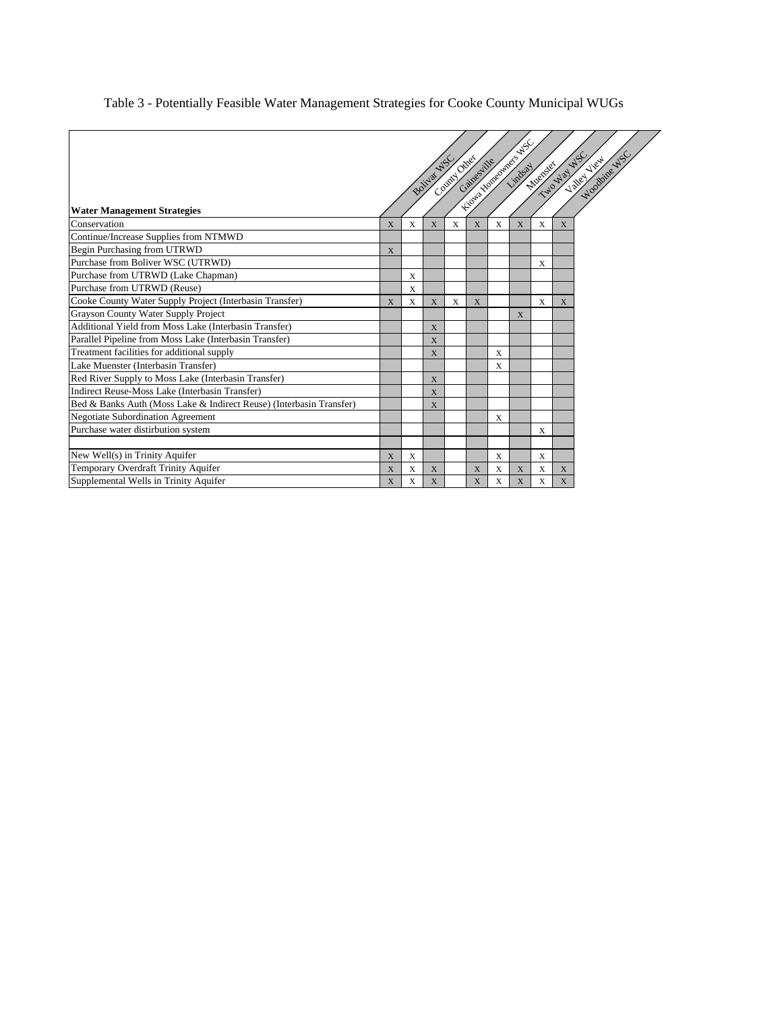## Table 3 - Potentially Feasible Water Management Strategies for Cooke County Municipal WUGs

| <b>Water Management Strategies</b>                                  |   |             | Boliva WS   | Computing |   |   | Kiosia Northumber Web W. | TWO WAY AS<br>Mucheles / | Valid View |
|---------------------------------------------------------------------|---|-------------|-------------|-----------|---|---|--------------------------|--------------------------|------------|
| Conservation                                                        | X | X           | X           | X         | X | X | X                        | X                        | X          |
| Continue/Increase Supplies from NTMWD                               |   |             |             |           |   |   |                          |                          |            |
| Begin Purchasing from UTRWD                                         | X |             |             |           |   |   |                          |                          |            |
| Purchase from Boliver WSC (UTRWD)                                   |   |             |             |           |   |   |                          | X                        |            |
| Purchase from UTRWD (Lake Chapman)                                  |   | X           |             |           |   |   |                          |                          |            |
| Purchase from UTRWD (Reuse)                                         |   | $\mathbf x$ |             |           |   |   |                          |                          |            |
| Cooke County Water Supply Project (Interbasin Transfer)             | X | X           | X           | X         | X |   |                          | X                        | X          |
| Grayson County Water Supply Project                                 |   |             |             |           |   |   | X                        |                          |            |
| Additional Yield from Moss Lake (Interbasin Transfer)               |   |             | X           |           |   |   |                          |                          |            |
| Parallel Pipeline from Moss Lake (Interbasin Transfer)              |   |             | X           |           |   |   |                          |                          |            |
| Treatment facilities for additional supply                          |   |             | X           |           |   | X |                          |                          |            |
| Lake Muenster (Interbasin Transfer)                                 |   |             |             |           |   | X |                          |                          |            |
| Red River Supply to Moss Lake (Interbasin Transfer)                 |   |             | $\mathbf X$ |           |   |   |                          |                          |            |
| Indirect Reuse-Moss Lake (Interbasin Transfer)                      |   |             | X           |           |   |   |                          |                          |            |
| Bed & Banks Auth (Moss Lake & Indirect Reuse) (Interbasin Transfer) |   |             | X           |           |   |   |                          |                          |            |
| <b>Negotiate Subordination Agreement</b>                            |   |             |             |           |   | X |                          |                          |            |
| Purchase water distirbution system                                  |   |             |             |           |   |   |                          | X                        |            |
|                                                                     |   |             |             |           |   |   |                          |                          |            |
| New Well(s) in Trinity Aquifer                                      | X | X           |             |           |   | X |                          | X                        |            |
| Temporary Overdraft Trinity Aquifer                                 | X | X           | X           |           | X | X | X                        | X                        | X          |
| Supplemental Wells in Trinity Aquifer                               | X | X           | X           |           | X | X | X                        | X                        | X          |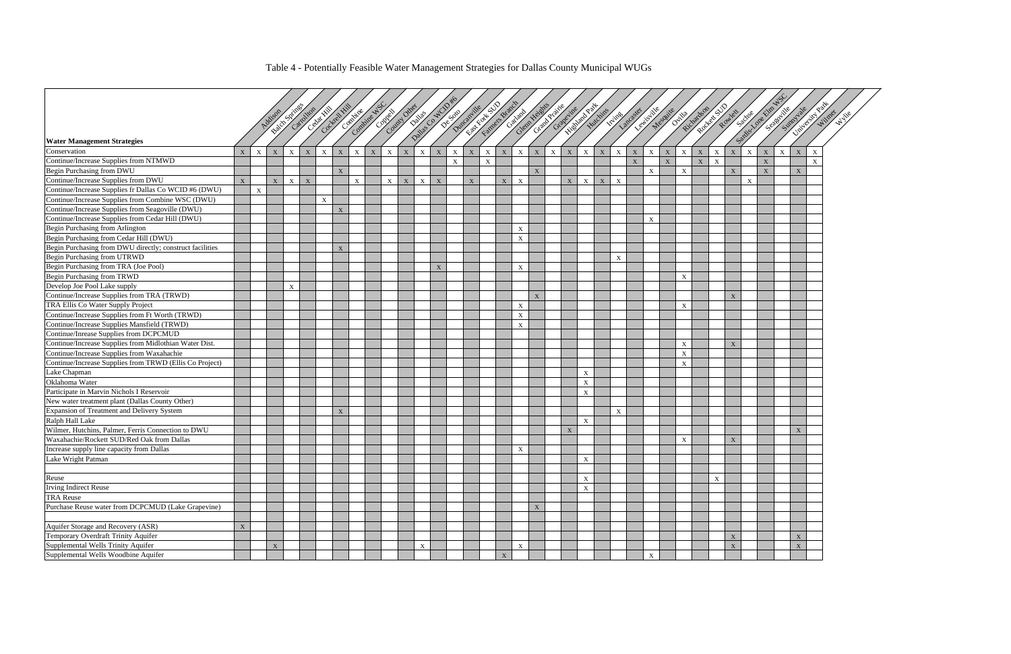# Table 4 - Potentially Feasible Water Management Strategies for Dallas County Municipal WUGs



| Est render Branch<br>Contract Only of Barry<br>Concidental AS<br>Glent Lead of Grand Chapter<br>Historical Party<br>Coccol Hill<br>Bablic Science<br>De Solomonile<br>Rocket SD<br>Centre<br>Satis-Vale Lim<br>Lewis ille<br>Richardson<br>September<br>Carchican<br>Sunnyale<br>Huchins<br>Cantago<br>Megazite<br>Lancaster<br>Rowlet<br><b>Kymes</b><br>Ovilla<br>Addison<br><b>Water Management Strategies</b><br>$\mathbf X$<br>$\mathbf X$<br>$\mathbf X$<br>$\mathbf{X}$<br>$\mathbf X$<br>X<br>$\mathbf{X}$<br>$\mathbf X$<br>$\mathbf X$<br>$\mathbf X$<br>$\mathbf{X}$<br>X<br>$\mathbf X$<br>$\mathbf X$<br>$\mathbf X$<br>$\mathbf X$<br>$\mathbf X$<br>$\mathbf X$<br>$\mathbf X$<br>$\mathbf X$<br>$\mathbf X$<br>$\mathbf X$<br>$\mathbf X$<br>Conservation<br>$\mathbf X$<br>$\mathbf X$<br>$\mathbf{X}$<br>$\boldsymbol{\mathrm{X}}$<br>$\mathbf X$<br>$\boldsymbol{\mathrm{X}}$<br>$\mathbf{X}$<br>$\mathbf X$<br>$\boldsymbol{\mathrm{X}}$<br>$\mathbf X$<br>$\boldsymbol{\mathrm{X}}$<br>$\mathbf{X}$<br>Continue/Increase Supplies from NTMWD<br>$\mathbf X$<br>$\mathbf X$<br>$\mathbf X$<br>$\mathbf X$<br>$\boldsymbol{\mathrm{X}}$<br>$\mathbf X$<br>$\mathbf X$<br>Begin Purchasing from DWU<br>$\mathbf X$<br>$\mathbf X$<br>$\mathbf X$<br>$\mathbf X$<br>$\mathbf X$<br>$\mathbf X$<br>$\mathbf X$<br>Continue/Increase Supplies from DWU<br>$\mathbf X$<br>$\mathbf{X}$<br>$\mathbf X$<br>$\mathbf X$<br>$\mathbf{X}$<br>$\mathbf X$<br>$\mathbf X$<br>$\mathbf X$<br>$\mathbf X$<br>$\mathbf X$<br>$\mathbf X$<br>X<br>$\mathbf{X}$<br>$\boldsymbol{\mathrm{X}}$<br>$\mathbf X$<br>X<br>$\mathbf X$<br>Continue/Increase Supplies fr Dallas Co WCID #6 (DWU)<br>$\mathbf X$<br>Continue/Increase Supplies from Combine WSC (DWU)<br>$\mathbf X$<br>Continue/Increase Supplies from Seagoville (DWU)<br>$\mathbf X$<br>Continue/Increase Supplies from Cedar Hill (DWU)<br>$\mathbf{X}$<br>Begin Purchasing from Arlington<br>$\mathbf X$<br>Begin Purchasing from Cedar Hill (DWU)<br>$\mathbf X$<br>Begin Purchasing from DWU directly; construct facilities<br>X<br>Begin Purchasing from UTRWD<br>X<br>Begin Purchasing from TRA (Joe Pool)<br>$\mathbf X$<br>$\mathbf X$<br>Begin Purchasing from TRWD<br>$\mathbf X$<br>Develop Joe Pool Lake supply<br>$\mathbf X$<br>Continue/Increase Supplies from TRA (TRWD)<br>$\mathbf{X}$<br>X<br>TRA Ellis Co Water Supply Project<br>X<br>$\boldsymbol{\mathrm{X}}$<br>Continue/Increase Supplies from Ft Worth (TRWD)<br>$\mathbf X$<br>Continue/Increase Supplies Mansfield (TRWD)<br>$\mathbf X$<br>Continue/Inrease Supplies from DCPCMUD<br>Continue/Increase Supplies from Midlothian Water Dist.<br>$\mathbf{X}$<br>$\boldsymbol{\mathrm{X}}$<br>Continue/Increase Supplies from Waxahachie<br>$\mathbf X$<br>Continue/Increase Supplies from TRWD (Ellis Co Project)<br>$\mathbf X$<br>Lake Chapman<br>$\boldsymbol{\mathrm{X}}$<br>Oklahoma Water<br>$\boldsymbol{\mathrm{X}}$<br>Participate in Marvin Nichols I Reservoir<br>$\mathbf X$<br>New water treatment plant (Dallas County Other)<br>Expansion of Treatment and Delivery System<br>$\mathbf X$<br>$\mathbf X$<br>Ralph Hall Lake<br>$\boldsymbol{\mathrm{X}}$<br>Wilmer, Hutchins, Palmer, Ferris Connection to DWU<br>$\mathbf X$<br>$\mathbf X$<br>Waxahachie/Rockett SUD/Red Oak from Dallas<br>$\boldsymbol{\mathrm{X}}$<br>$\mathbf X$<br>Increase supply line capacity from Dallas<br>$\mathbf X$<br>Lake Wright Patman<br>X<br>Reuse<br>$\boldsymbol{\mathrm{X}}$<br>$\mathbf X$<br><b>Irving Indirect Reuse</b><br>$\mathbf X$<br><b>TRA Reuse</b><br>Purchase Reuse water from DCPCMUD (Lake Grapevine)<br>$\mathbf X$<br>Aquifer Storage and Recovery (ASR)<br>$\mathbf X$<br>Temporary Overdraft Trinity Aquifer<br>$\mathbf X$<br>$\mathbf X$<br>Supplemental Wells Trinity Aquifer<br>$\mathbf X$<br>$\mathbf X$<br>$\mathbf X$<br>$\mathbf X$<br>$\mathbf X$<br>Supplemental Wells Woodbine Aquifer<br>$\mathbf X$<br>$\mathbf{X}$ |  |  |  |  |  |  |  |  |  |  |  |  |  |  |  |  |  |  |
|----------------------------------------------------------------------------------------------------------------------------------------------------------------------------------------------------------------------------------------------------------------------------------------------------------------------------------------------------------------------------------------------------------------------------------------------------------------------------------------------------------------------------------------------------------------------------------------------------------------------------------------------------------------------------------------------------------------------------------------------------------------------------------------------------------------------------------------------------------------------------------------------------------------------------------------------------------------------------------------------------------------------------------------------------------------------------------------------------------------------------------------------------------------------------------------------------------------------------------------------------------------------------------------------------------------------------------------------------------------------------------------------------------------------------------------------------------------------------------------------------------------------------------------------------------------------------------------------------------------------------------------------------------------------------------------------------------------------------------------------------------------------------------------------------------------------------------------------------------------------------------------------------------------------------------------------------------------------------------------------------------------------------------------------------------------------------------------------------------------------------------------------------------------------------------------------------------------------------------------------------------------------------------------------------------------------------------------------------------------------------------------------------------------------------------------------------------------------------------------------------------------------------------------------------------------------------------------------------------------------------------------------------------------------------------------------------------------------------------------------------------------------------------------------------------------------------------------------------------------------------------------------------------------------------------------------------------------------------------------------------------------------------------------------------------------------------------------------------------------------------------------------------------------------------------------------------------------------------------------------------------------------------------------------------------------------------------------------------------------------------------------------------------------------------------------------------------------------------------------------------------------------------------------------------------------------------------------------------------------------------------------------------------------------------------------------------------------------------------------------------------------------------------------------------------------------------------------------------------------------------------------------------------------------------------------------------------------------------------------------------|--|--|--|--|--|--|--|--|--|--|--|--|--|--|--|--|--|--|
| University.                                                                                                                                                                                                                                                                                                                                                                                                                                                                                                                                                                                                                                                                                                                                                                                                                                                                                                                                                                                                                                                                                                                                                                                                                                                                                                                                                                                                                                                                                                                                                                                                                                                                                                                                                                                                                                                                                                                                                                                                                                                                                                                                                                                                                                                                                                                                                                                                                                                                                                                                                                                                                                                                                                                                                                                                                                                                                                                                                                                                                                                                                                                                                                                                                                                                                                                                                                                                                                                                                                                                                                                                                                                                                                                                                                                                                                                                                                                                                                                        |  |  |  |  |  |  |  |  |  |  |  |  |  |  |  |  |  |  |
|                                                                                                                                                                                                                                                                                                                                                                                                                                                                                                                                                                                                                                                                                                                                                                                                                                                                                                                                                                                                                                                                                                                                                                                                                                                                                                                                                                                                                                                                                                                                                                                                                                                                                                                                                                                                                                                                                                                                                                                                                                                                                                                                                                                                                                                                                                                                                                                                                                                                                                                                                                                                                                                                                                                                                                                                                                                                                                                                                                                                                                                                                                                                                                                                                                                                                                                                                                                                                                                                                                                                                                                                                                                                                                                                                                                                                                                                                                                                                                                                    |  |  |  |  |  |  |  |  |  |  |  |  |  |  |  |  |  |  |
|                                                                                                                                                                                                                                                                                                                                                                                                                                                                                                                                                                                                                                                                                                                                                                                                                                                                                                                                                                                                                                                                                                                                                                                                                                                                                                                                                                                                                                                                                                                                                                                                                                                                                                                                                                                                                                                                                                                                                                                                                                                                                                                                                                                                                                                                                                                                                                                                                                                                                                                                                                                                                                                                                                                                                                                                                                                                                                                                                                                                                                                                                                                                                                                                                                                                                                                                                                                                                                                                                                                                                                                                                                                                                                                                                                                                                                                                                                                                                                                                    |  |  |  |  |  |  |  |  |  |  |  |  |  |  |  |  |  |  |
|                                                                                                                                                                                                                                                                                                                                                                                                                                                                                                                                                                                                                                                                                                                                                                                                                                                                                                                                                                                                                                                                                                                                                                                                                                                                                                                                                                                                                                                                                                                                                                                                                                                                                                                                                                                                                                                                                                                                                                                                                                                                                                                                                                                                                                                                                                                                                                                                                                                                                                                                                                                                                                                                                                                                                                                                                                                                                                                                                                                                                                                                                                                                                                                                                                                                                                                                                                                                                                                                                                                                                                                                                                                                                                                                                                                                                                                                                                                                                                                                    |  |  |  |  |  |  |  |  |  |  |  |  |  |  |  |  |  |  |
|                                                                                                                                                                                                                                                                                                                                                                                                                                                                                                                                                                                                                                                                                                                                                                                                                                                                                                                                                                                                                                                                                                                                                                                                                                                                                                                                                                                                                                                                                                                                                                                                                                                                                                                                                                                                                                                                                                                                                                                                                                                                                                                                                                                                                                                                                                                                                                                                                                                                                                                                                                                                                                                                                                                                                                                                                                                                                                                                                                                                                                                                                                                                                                                                                                                                                                                                                                                                                                                                                                                                                                                                                                                                                                                                                                                                                                                                                                                                                                                                    |  |  |  |  |  |  |  |  |  |  |  |  |  |  |  |  |  |  |
|                                                                                                                                                                                                                                                                                                                                                                                                                                                                                                                                                                                                                                                                                                                                                                                                                                                                                                                                                                                                                                                                                                                                                                                                                                                                                                                                                                                                                                                                                                                                                                                                                                                                                                                                                                                                                                                                                                                                                                                                                                                                                                                                                                                                                                                                                                                                                                                                                                                                                                                                                                                                                                                                                                                                                                                                                                                                                                                                                                                                                                                                                                                                                                                                                                                                                                                                                                                                                                                                                                                                                                                                                                                                                                                                                                                                                                                                                                                                                                                                    |  |  |  |  |  |  |  |  |  |  |  |  |  |  |  |  |  |  |
|                                                                                                                                                                                                                                                                                                                                                                                                                                                                                                                                                                                                                                                                                                                                                                                                                                                                                                                                                                                                                                                                                                                                                                                                                                                                                                                                                                                                                                                                                                                                                                                                                                                                                                                                                                                                                                                                                                                                                                                                                                                                                                                                                                                                                                                                                                                                                                                                                                                                                                                                                                                                                                                                                                                                                                                                                                                                                                                                                                                                                                                                                                                                                                                                                                                                                                                                                                                                                                                                                                                                                                                                                                                                                                                                                                                                                                                                                                                                                                                                    |  |  |  |  |  |  |  |  |  |  |  |  |  |  |  |  |  |  |
|                                                                                                                                                                                                                                                                                                                                                                                                                                                                                                                                                                                                                                                                                                                                                                                                                                                                                                                                                                                                                                                                                                                                                                                                                                                                                                                                                                                                                                                                                                                                                                                                                                                                                                                                                                                                                                                                                                                                                                                                                                                                                                                                                                                                                                                                                                                                                                                                                                                                                                                                                                                                                                                                                                                                                                                                                                                                                                                                                                                                                                                                                                                                                                                                                                                                                                                                                                                                                                                                                                                                                                                                                                                                                                                                                                                                                                                                                                                                                                                                    |  |  |  |  |  |  |  |  |  |  |  |  |  |  |  |  |  |  |
|                                                                                                                                                                                                                                                                                                                                                                                                                                                                                                                                                                                                                                                                                                                                                                                                                                                                                                                                                                                                                                                                                                                                                                                                                                                                                                                                                                                                                                                                                                                                                                                                                                                                                                                                                                                                                                                                                                                                                                                                                                                                                                                                                                                                                                                                                                                                                                                                                                                                                                                                                                                                                                                                                                                                                                                                                                                                                                                                                                                                                                                                                                                                                                                                                                                                                                                                                                                                                                                                                                                                                                                                                                                                                                                                                                                                                                                                                                                                                                                                    |  |  |  |  |  |  |  |  |  |  |  |  |  |  |  |  |  |  |
|                                                                                                                                                                                                                                                                                                                                                                                                                                                                                                                                                                                                                                                                                                                                                                                                                                                                                                                                                                                                                                                                                                                                                                                                                                                                                                                                                                                                                                                                                                                                                                                                                                                                                                                                                                                                                                                                                                                                                                                                                                                                                                                                                                                                                                                                                                                                                                                                                                                                                                                                                                                                                                                                                                                                                                                                                                                                                                                                                                                                                                                                                                                                                                                                                                                                                                                                                                                                                                                                                                                                                                                                                                                                                                                                                                                                                                                                                                                                                                                                    |  |  |  |  |  |  |  |  |  |  |  |  |  |  |  |  |  |  |
|                                                                                                                                                                                                                                                                                                                                                                                                                                                                                                                                                                                                                                                                                                                                                                                                                                                                                                                                                                                                                                                                                                                                                                                                                                                                                                                                                                                                                                                                                                                                                                                                                                                                                                                                                                                                                                                                                                                                                                                                                                                                                                                                                                                                                                                                                                                                                                                                                                                                                                                                                                                                                                                                                                                                                                                                                                                                                                                                                                                                                                                                                                                                                                                                                                                                                                                                                                                                                                                                                                                                                                                                                                                                                                                                                                                                                                                                                                                                                                                                    |  |  |  |  |  |  |  |  |  |  |  |  |  |  |  |  |  |  |
|                                                                                                                                                                                                                                                                                                                                                                                                                                                                                                                                                                                                                                                                                                                                                                                                                                                                                                                                                                                                                                                                                                                                                                                                                                                                                                                                                                                                                                                                                                                                                                                                                                                                                                                                                                                                                                                                                                                                                                                                                                                                                                                                                                                                                                                                                                                                                                                                                                                                                                                                                                                                                                                                                                                                                                                                                                                                                                                                                                                                                                                                                                                                                                                                                                                                                                                                                                                                                                                                                                                                                                                                                                                                                                                                                                                                                                                                                                                                                                                                    |  |  |  |  |  |  |  |  |  |  |  |  |  |  |  |  |  |  |
|                                                                                                                                                                                                                                                                                                                                                                                                                                                                                                                                                                                                                                                                                                                                                                                                                                                                                                                                                                                                                                                                                                                                                                                                                                                                                                                                                                                                                                                                                                                                                                                                                                                                                                                                                                                                                                                                                                                                                                                                                                                                                                                                                                                                                                                                                                                                                                                                                                                                                                                                                                                                                                                                                                                                                                                                                                                                                                                                                                                                                                                                                                                                                                                                                                                                                                                                                                                                                                                                                                                                                                                                                                                                                                                                                                                                                                                                                                                                                                                                    |  |  |  |  |  |  |  |  |  |  |  |  |  |  |  |  |  |  |
|                                                                                                                                                                                                                                                                                                                                                                                                                                                                                                                                                                                                                                                                                                                                                                                                                                                                                                                                                                                                                                                                                                                                                                                                                                                                                                                                                                                                                                                                                                                                                                                                                                                                                                                                                                                                                                                                                                                                                                                                                                                                                                                                                                                                                                                                                                                                                                                                                                                                                                                                                                                                                                                                                                                                                                                                                                                                                                                                                                                                                                                                                                                                                                                                                                                                                                                                                                                                                                                                                                                                                                                                                                                                                                                                                                                                                                                                                                                                                                                                    |  |  |  |  |  |  |  |  |  |  |  |  |  |  |  |  |  |  |
|                                                                                                                                                                                                                                                                                                                                                                                                                                                                                                                                                                                                                                                                                                                                                                                                                                                                                                                                                                                                                                                                                                                                                                                                                                                                                                                                                                                                                                                                                                                                                                                                                                                                                                                                                                                                                                                                                                                                                                                                                                                                                                                                                                                                                                                                                                                                                                                                                                                                                                                                                                                                                                                                                                                                                                                                                                                                                                                                                                                                                                                                                                                                                                                                                                                                                                                                                                                                                                                                                                                                                                                                                                                                                                                                                                                                                                                                                                                                                                                                    |  |  |  |  |  |  |  |  |  |  |  |  |  |  |  |  |  |  |
|                                                                                                                                                                                                                                                                                                                                                                                                                                                                                                                                                                                                                                                                                                                                                                                                                                                                                                                                                                                                                                                                                                                                                                                                                                                                                                                                                                                                                                                                                                                                                                                                                                                                                                                                                                                                                                                                                                                                                                                                                                                                                                                                                                                                                                                                                                                                                                                                                                                                                                                                                                                                                                                                                                                                                                                                                                                                                                                                                                                                                                                                                                                                                                                                                                                                                                                                                                                                                                                                                                                                                                                                                                                                                                                                                                                                                                                                                                                                                                                                    |  |  |  |  |  |  |  |  |  |  |  |  |  |  |  |  |  |  |
|                                                                                                                                                                                                                                                                                                                                                                                                                                                                                                                                                                                                                                                                                                                                                                                                                                                                                                                                                                                                                                                                                                                                                                                                                                                                                                                                                                                                                                                                                                                                                                                                                                                                                                                                                                                                                                                                                                                                                                                                                                                                                                                                                                                                                                                                                                                                                                                                                                                                                                                                                                                                                                                                                                                                                                                                                                                                                                                                                                                                                                                                                                                                                                                                                                                                                                                                                                                                                                                                                                                                                                                                                                                                                                                                                                                                                                                                                                                                                                                                    |  |  |  |  |  |  |  |  |  |  |  |  |  |  |  |  |  |  |
|                                                                                                                                                                                                                                                                                                                                                                                                                                                                                                                                                                                                                                                                                                                                                                                                                                                                                                                                                                                                                                                                                                                                                                                                                                                                                                                                                                                                                                                                                                                                                                                                                                                                                                                                                                                                                                                                                                                                                                                                                                                                                                                                                                                                                                                                                                                                                                                                                                                                                                                                                                                                                                                                                                                                                                                                                                                                                                                                                                                                                                                                                                                                                                                                                                                                                                                                                                                                                                                                                                                                                                                                                                                                                                                                                                                                                                                                                                                                                                                                    |  |  |  |  |  |  |  |  |  |  |  |  |  |  |  |  |  |  |
|                                                                                                                                                                                                                                                                                                                                                                                                                                                                                                                                                                                                                                                                                                                                                                                                                                                                                                                                                                                                                                                                                                                                                                                                                                                                                                                                                                                                                                                                                                                                                                                                                                                                                                                                                                                                                                                                                                                                                                                                                                                                                                                                                                                                                                                                                                                                                                                                                                                                                                                                                                                                                                                                                                                                                                                                                                                                                                                                                                                                                                                                                                                                                                                                                                                                                                                                                                                                                                                                                                                                                                                                                                                                                                                                                                                                                                                                                                                                                                                                    |  |  |  |  |  |  |  |  |  |  |  |  |  |  |  |  |  |  |
|                                                                                                                                                                                                                                                                                                                                                                                                                                                                                                                                                                                                                                                                                                                                                                                                                                                                                                                                                                                                                                                                                                                                                                                                                                                                                                                                                                                                                                                                                                                                                                                                                                                                                                                                                                                                                                                                                                                                                                                                                                                                                                                                                                                                                                                                                                                                                                                                                                                                                                                                                                                                                                                                                                                                                                                                                                                                                                                                                                                                                                                                                                                                                                                                                                                                                                                                                                                                                                                                                                                                                                                                                                                                                                                                                                                                                                                                                                                                                                                                    |  |  |  |  |  |  |  |  |  |  |  |  |  |  |  |  |  |  |
|                                                                                                                                                                                                                                                                                                                                                                                                                                                                                                                                                                                                                                                                                                                                                                                                                                                                                                                                                                                                                                                                                                                                                                                                                                                                                                                                                                                                                                                                                                                                                                                                                                                                                                                                                                                                                                                                                                                                                                                                                                                                                                                                                                                                                                                                                                                                                                                                                                                                                                                                                                                                                                                                                                                                                                                                                                                                                                                                                                                                                                                                                                                                                                                                                                                                                                                                                                                                                                                                                                                                                                                                                                                                                                                                                                                                                                                                                                                                                                                                    |  |  |  |  |  |  |  |  |  |  |  |  |  |  |  |  |  |  |
|                                                                                                                                                                                                                                                                                                                                                                                                                                                                                                                                                                                                                                                                                                                                                                                                                                                                                                                                                                                                                                                                                                                                                                                                                                                                                                                                                                                                                                                                                                                                                                                                                                                                                                                                                                                                                                                                                                                                                                                                                                                                                                                                                                                                                                                                                                                                                                                                                                                                                                                                                                                                                                                                                                                                                                                                                                                                                                                                                                                                                                                                                                                                                                                                                                                                                                                                                                                                                                                                                                                                                                                                                                                                                                                                                                                                                                                                                                                                                                                                    |  |  |  |  |  |  |  |  |  |  |  |  |  |  |  |  |  |  |
|                                                                                                                                                                                                                                                                                                                                                                                                                                                                                                                                                                                                                                                                                                                                                                                                                                                                                                                                                                                                                                                                                                                                                                                                                                                                                                                                                                                                                                                                                                                                                                                                                                                                                                                                                                                                                                                                                                                                                                                                                                                                                                                                                                                                                                                                                                                                                                                                                                                                                                                                                                                                                                                                                                                                                                                                                                                                                                                                                                                                                                                                                                                                                                                                                                                                                                                                                                                                                                                                                                                                                                                                                                                                                                                                                                                                                                                                                                                                                                                                    |  |  |  |  |  |  |  |  |  |  |  |  |  |  |  |  |  |  |
|                                                                                                                                                                                                                                                                                                                                                                                                                                                                                                                                                                                                                                                                                                                                                                                                                                                                                                                                                                                                                                                                                                                                                                                                                                                                                                                                                                                                                                                                                                                                                                                                                                                                                                                                                                                                                                                                                                                                                                                                                                                                                                                                                                                                                                                                                                                                                                                                                                                                                                                                                                                                                                                                                                                                                                                                                                                                                                                                                                                                                                                                                                                                                                                                                                                                                                                                                                                                                                                                                                                                                                                                                                                                                                                                                                                                                                                                                                                                                                                                    |  |  |  |  |  |  |  |  |  |  |  |  |  |  |  |  |  |  |
|                                                                                                                                                                                                                                                                                                                                                                                                                                                                                                                                                                                                                                                                                                                                                                                                                                                                                                                                                                                                                                                                                                                                                                                                                                                                                                                                                                                                                                                                                                                                                                                                                                                                                                                                                                                                                                                                                                                                                                                                                                                                                                                                                                                                                                                                                                                                                                                                                                                                                                                                                                                                                                                                                                                                                                                                                                                                                                                                                                                                                                                                                                                                                                                                                                                                                                                                                                                                                                                                                                                                                                                                                                                                                                                                                                                                                                                                                                                                                                                                    |  |  |  |  |  |  |  |  |  |  |  |  |  |  |  |  |  |  |
|                                                                                                                                                                                                                                                                                                                                                                                                                                                                                                                                                                                                                                                                                                                                                                                                                                                                                                                                                                                                                                                                                                                                                                                                                                                                                                                                                                                                                                                                                                                                                                                                                                                                                                                                                                                                                                                                                                                                                                                                                                                                                                                                                                                                                                                                                                                                                                                                                                                                                                                                                                                                                                                                                                                                                                                                                                                                                                                                                                                                                                                                                                                                                                                                                                                                                                                                                                                                                                                                                                                                                                                                                                                                                                                                                                                                                                                                                                                                                                                                    |  |  |  |  |  |  |  |  |  |  |  |  |  |  |  |  |  |  |
|                                                                                                                                                                                                                                                                                                                                                                                                                                                                                                                                                                                                                                                                                                                                                                                                                                                                                                                                                                                                                                                                                                                                                                                                                                                                                                                                                                                                                                                                                                                                                                                                                                                                                                                                                                                                                                                                                                                                                                                                                                                                                                                                                                                                                                                                                                                                                                                                                                                                                                                                                                                                                                                                                                                                                                                                                                                                                                                                                                                                                                                                                                                                                                                                                                                                                                                                                                                                                                                                                                                                                                                                                                                                                                                                                                                                                                                                                                                                                                                                    |  |  |  |  |  |  |  |  |  |  |  |  |  |  |  |  |  |  |
|                                                                                                                                                                                                                                                                                                                                                                                                                                                                                                                                                                                                                                                                                                                                                                                                                                                                                                                                                                                                                                                                                                                                                                                                                                                                                                                                                                                                                                                                                                                                                                                                                                                                                                                                                                                                                                                                                                                                                                                                                                                                                                                                                                                                                                                                                                                                                                                                                                                                                                                                                                                                                                                                                                                                                                                                                                                                                                                                                                                                                                                                                                                                                                                                                                                                                                                                                                                                                                                                                                                                                                                                                                                                                                                                                                                                                                                                                                                                                                                                    |  |  |  |  |  |  |  |  |  |  |  |  |  |  |  |  |  |  |
|                                                                                                                                                                                                                                                                                                                                                                                                                                                                                                                                                                                                                                                                                                                                                                                                                                                                                                                                                                                                                                                                                                                                                                                                                                                                                                                                                                                                                                                                                                                                                                                                                                                                                                                                                                                                                                                                                                                                                                                                                                                                                                                                                                                                                                                                                                                                                                                                                                                                                                                                                                                                                                                                                                                                                                                                                                                                                                                                                                                                                                                                                                                                                                                                                                                                                                                                                                                                                                                                                                                                                                                                                                                                                                                                                                                                                                                                                                                                                                                                    |  |  |  |  |  |  |  |  |  |  |  |  |  |  |  |  |  |  |
|                                                                                                                                                                                                                                                                                                                                                                                                                                                                                                                                                                                                                                                                                                                                                                                                                                                                                                                                                                                                                                                                                                                                                                                                                                                                                                                                                                                                                                                                                                                                                                                                                                                                                                                                                                                                                                                                                                                                                                                                                                                                                                                                                                                                                                                                                                                                                                                                                                                                                                                                                                                                                                                                                                                                                                                                                                                                                                                                                                                                                                                                                                                                                                                                                                                                                                                                                                                                                                                                                                                                                                                                                                                                                                                                                                                                                                                                                                                                                                                                    |  |  |  |  |  |  |  |  |  |  |  |  |  |  |  |  |  |  |
|                                                                                                                                                                                                                                                                                                                                                                                                                                                                                                                                                                                                                                                                                                                                                                                                                                                                                                                                                                                                                                                                                                                                                                                                                                                                                                                                                                                                                                                                                                                                                                                                                                                                                                                                                                                                                                                                                                                                                                                                                                                                                                                                                                                                                                                                                                                                                                                                                                                                                                                                                                                                                                                                                                                                                                                                                                                                                                                                                                                                                                                                                                                                                                                                                                                                                                                                                                                                                                                                                                                                                                                                                                                                                                                                                                                                                                                                                                                                                                                                    |  |  |  |  |  |  |  |  |  |  |  |  |  |  |  |  |  |  |
|                                                                                                                                                                                                                                                                                                                                                                                                                                                                                                                                                                                                                                                                                                                                                                                                                                                                                                                                                                                                                                                                                                                                                                                                                                                                                                                                                                                                                                                                                                                                                                                                                                                                                                                                                                                                                                                                                                                                                                                                                                                                                                                                                                                                                                                                                                                                                                                                                                                                                                                                                                                                                                                                                                                                                                                                                                                                                                                                                                                                                                                                                                                                                                                                                                                                                                                                                                                                                                                                                                                                                                                                                                                                                                                                                                                                                                                                                                                                                                                                    |  |  |  |  |  |  |  |  |  |  |  |  |  |  |  |  |  |  |
|                                                                                                                                                                                                                                                                                                                                                                                                                                                                                                                                                                                                                                                                                                                                                                                                                                                                                                                                                                                                                                                                                                                                                                                                                                                                                                                                                                                                                                                                                                                                                                                                                                                                                                                                                                                                                                                                                                                                                                                                                                                                                                                                                                                                                                                                                                                                                                                                                                                                                                                                                                                                                                                                                                                                                                                                                                                                                                                                                                                                                                                                                                                                                                                                                                                                                                                                                                                                                                                                                                                                                                                                                                                                                                                                                                                                                                                                                                                                                                                                    |  |  |  |  |  |  |  |  |  |  |  |  |  |  |  |  |  |  |
|                                                                                                                                                                                                                                                                                                                                                                                                                                                                                                                                                                                                                                                                                                                                                                                                                                                                                                                                                                                                                                                                                                                                                                                                                                                                                                                                                                                                                                                                                                                                                                                                                                                                                                                                                                                                                                                                                                                                                                                                                                                                                                                                                                                                                                                                                                                                                                                                                                                                                                                                                                                                                                                                                                                                                                                                                                                                                                                                                                                                                                                                                                                                                                                                                                                                                                                                                                                                                                                                                                                                                                                                                                                                                                                                                                                                                                                                                                                                                                                                    |  |  |  |  |  |  |  |  |  |  |  |  |  |  |  |  |  |  |
|                                                                                                                                                                                                                                                                                                                                                                                                                                                                                                                                                                                                                                                                                                                                                                                                                                                                                                                                                                                                                                                                                                                                                                                                                                                                                                                                                                                                                                                                                                                                                                                                                                                                                                                                                                                                                                                                                                                                                                                                                                                                                                                                                                                                                                                                                                                                                                                                                                                                                                                                                                                                                                                                                                                                                                                                                                                                                                                                                                                                                                                                                                                                                                                                                                                                                                                                                                                                                                                                                                                                                                                                                                                                                                                                                                                                                                                                                                                                                                                                    |  |  |  |  |  |  |  |  |  |  |  |  |  |  |  |  |  |  |
|                                                                                                                                                                                                                                                                                                                                                                                                                                                                                                                                                                                                                                                                                                                                                                                                                                                                                                                                                                                                                                                                                                                                                                                                                                                                                                                                                                                                                                                                                                                                                                                                                                                                                                                                                                                                                                                                                                                                                                                                                                                                                                                                                                                                                                                                                                                                                                                                                                                                                                                                                                                                                                                                                                                                                                                                                                                                                                                                                                                                                                                                                                                                                                                                                                                                                                                                                                                                                                                                                                                                                                                                                                                                                                                                                                                                                                                                                                                                                                                                    |  |  |  |  |  |  |  |  |  |  |  |  |  |  |  |  |  |  |
|                                                                                                                                                                                                                                                                                                                                                                                                                                                                                                                                                                                                                                                                                                                                                                                                                                                                                                                                                                                                                                                                                                                                                                                                                                                                                                                                                                                                                                                                                                                                                                                                                                                                                                                                                                                                                                                                                                                                                                                                                                                                                                                                                                                                                                                                                                                                                                                                                                                                                                                                                                                                                                                                                                                                                                                                                                                                                                                                                                                                                                                                                                                                                                                                                                                                                                                                                                                                                                                                                                                                                                                                                                                                                                                                                                                                                                                                                                                                                                                                    |  |  |  |  |  |  |  |  |  |  |  |  |  |  |  |  |  |  |
|                                                                                                                                                                                                                                                                                                                                                                                                                                                                                                                                                                                                                                                                                                                                                                                                                                                                                                                                                                                                                                                                                                                                                                                                                                                                                                                                                                                                                                                                                                                                                                                                                                                                                                                                                                                                                                                                                                                                                                                                                                                                                                                                                                                                                                                                                                                                                                                                                                                                                                                                                                                                                                                                                                                                                                                                                                                                                                                                                                                                                                                                                                                                                                                                                                                                                                                                                                                                                                                                                                                                                                                                                                                                                                                                                                                                                                                                                                                                                                                                    |  |  |  |  |  |  |  |  |  |  |  |  |  |  |  |  |  |  |
|                                                                                                                                                                                                                                                                                                                                                                                                                                                                                                                                                                                                                                                                                                                                                                                                                                                                                                                                                                                                                                                                                                                                                                                                                                                                                                                                                                                                                                                                                                                                                                                                                                                                                                                                                                                                                                                                                                                                                                                                                                                                                                                                                                                                                                                                                                                                                                                                                                                                                                                                                                                                                                                                                                                                                                                                                                                                                                                                                                                                                                                                                                                                                                                                                                                                                                                                                                                                                                                                                                                                                                                                                                                                                                                                                                                                                                                                                                                                                                                                    |  |  |  |  |  |  |  |  |  |  |  |  |  |  |  |  |  |  |
|                                                                                                                                                                                                                                                                                                                                                                                                                                                                                                                                                                                                                                                                                                                                                                                                                                                                                                                                                                                                                                                                                                                                                                                                                                                                                                                                                                                                                                                                                                                                                                                                                                                                                                                                                                                                                                                                                                                                                                                                                                                                                                                                                                                                                                                                                                                                                                                                                                                                                                                                                                                                                                                                                                                                                                                                                                                                                                                                                                                                                                                                                                                                                                                                                                                                                                                                                                                                                                                                                                                                                                                                                                                                                                                                                                                                                                                                                                                                                                                                    |  |  |  |  |  |  |  |  |  |  |  |  |  |  |  |  |  |  |
|                                                                                                                                                                                                                                                                                                                                                                                                                                                                                                                                                                                                                                                                                                                                                                                                                                                                                                                                                                                                                                                                                                                                                                                                                                                                                                                                                                                                                                                                                                                                                                                                                                                                                                                                                                                                                                                                                                                                                                                                                                                                                                                                                                                                                                                                                                                                                                                                                                                                                                                                                                                                                                                                                                                                                                                                                                                                                                                                                                                                                                                                                                                                                                                                                                                                                                                                                                                                                                                                                                                                                                                                                                                                                                                                                                                                                                                                                                                                                                                                    |  |  |  |  |  |  |  |  |  |  |  |  |  |  |  |  |  |  |
|                                                                                                                                                                                                                                                                                                                                                                                                                                                                                                                                                                                                                                                                                                                                                                                                                                                                                                                                                                                                                                                                                                                                                                                                                                                                                                                                                                                                                                                                                                                                                                                                                                                                                                                                                                                                                                                                                                                                                                                                                                                                                                                                                                                                                                                                                                                                                                                                                                                                                                                                                                                                                                                                                                                                                                                                                                                                                                                                                                                                                                                                                                                                                                                                                                                                                                                                                                                                                                                                                                                                                                                                                                                                                                                                                                                                                                                                                                                                                                                                    |  |  |  |  |  |  |  |  |  |  |  |  |  |  |  |  |  |  |
|                                                                                                                                                                                                                                                                                                                                                                                                                                                                                                                                                                                                                                                                                                                                                                                                                                                                                                                                                                                                                                                                                                                                                                                                                                                                                                                                                                                                                                                                                                                                                                                                                                                                                                                                                                                                                                                                                                                                                                                                                                                                                                                                                                                                                                                                                                                                                                                                                                                                                                                                                                                                                                                                                                                                                                                                                                                                                                                                                                                                                                                                                                                                                                                                                                                                                                                                                                                                                                                                                                                                                                                                                                                                                                                                                                                                                                                                                                                                                                                                    |  |  |  |  |  |  |  |  |  |  |  |  |  |  |  |  |  |  |
|                                                                                                                                                                                                                                                                                                                                                                                                                                                                                                                                                                                                                                                                                                                                                                                                                                                                                                                                                                                                                                                                                                                                                                                                                                                                                                                                                                                                                                                                                                                                                                                                                                                                                                                                                                                                                                                                                                                                                                                                                                                                                                                                                                                                                                                                                                                                                                                                                                                                                                                                                                                                                                                                                                                                                                                                                                                                                                                                                                                                                                                                                                                                                                                                                                                                                                                                                                                                                                                                                                                                                                                                                                                                                                                                                                                                                                                                                                                                                                                                    |  |  |  |  |  |  |  |  |  |  |  |  |  |  |  |  |  |  |
|                                                                                                                                                                                                                                                                                                                                                                                                                                                                                                                                                                                                                                                                                                                                                                                                                                                                                                                                                                                                                                                                                                                                                                                                                                                                                                                                                                                                                                                                                                                                                                                                                                                                                                                                                                                                                                                                                                                                                                                                                                                                                                                                                                                                                                                                                                                                                                                                                                                                                                                                                                                                                                                                                                                                                                                                                                                                                                                                                                                                                                                                                                                                                                                                                                                                                                                                                                                                                                                                                                                                                                                                                                                                                                                                                                                                                                                                                                                                                                                                    |  |  |  |  |  |  |  |  |  |  |  |  |  |  |  |  |  |  |
|                                                                                                                                                                                                                                                                                                                                                                                                                                                                                                                                                                                                                                                                                                                                                                                                                                                                                                                                                                                                                                                                                                                                                                                                                                                                                                                                                                                                                                                                                                                                                                                                                                                                                                                                                                                                                                                                                                                                                                                                                                                                                                                                                                                                                                                                                                                                                                                                                                                                                                                                                                                                                                                                                                                                                                                                                                                                                                                                                                                                                                                                                                                                                                                                                                                                                                                                                                                                                                                                                                                                                                                                                                                                                                                                                                                                                                                                                                                                                                                                    |  |  |  |  |  |  |  |  |  |  |  |  |  |  |  |  |  |  |
|                                                                                                                                                                                                                                                                                                                                                                                                                                                                                                                                                                                                                                                                                                                                                                                                                                                                                                                                                                                                                                                                                                                                                                                                                                                                                                                                                                                                                                                                                                                                                                                                                                                                                                                                                                                                                                                                                                                                                                                                                                                                                                                                                                                                                                                                                                                                                                                                                                                                                                                                                                                                                                                                                                                                                                                                                                                                                                                                                                                                                                                                                                                                                                                                                                                                                                                                                                                                                                                                                                                                                                                                                                                                                                                                                                                                                                                                                                                                                                                                    |  |  |  |  |  |  |  |  |  |  |  |  |  |  |  |  |  |  |
|                                                                                                                                                                                                                                                                                                                                                                                                                                                                                                                                                                                                                                                                                                                                                                                                                                                                                                                                                                                                                                                                                                                                                                                                                                                                                                                                                                                                                                                                                                                                                                                                                                                                                                                                                                                                                                                                                                                                                                                                                                                                                                                                                                                                                                                                                                                                                                                                                                                                                                                                                                                                                                                                                                                                                                                                                                                                                                                                                                                                                                                                                                                                                                                                                                                                                                                                                                                                                                                                                                                                                                                                                                                                                                                                                                                                                                                                                                                                                                                                    |  |  |  |  |  |  |  |  |  |  |  |  |  |  |  |  |  |  |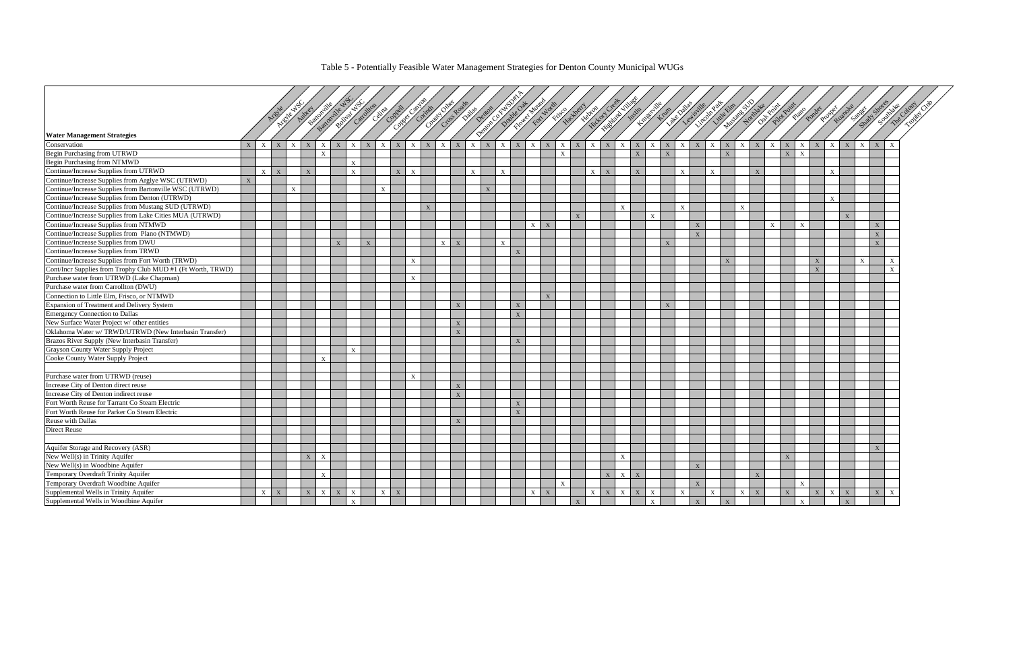#### Table 5 - Potentially Feasible Water Management Strategies for Denton County Municipal WUGs

|                                                                                      |                |              | Ariente Way<br>Areal | Autries      |              | Buttonine Water<br><b>Rolland Washington</b> |              |                              | Assimilation of the Children |              |              |              |              | France Contractor of the Contractor of the Contractor of the Contractor |              |              |              | Fine Dutter  |              |              | Newconduction of the Way   | Justin       | Kneeting Knee |              | <b>Like A allas</b><br>Lewissille | Lincoln Res  | Mustane SUY<br>Little Elm |              | Oak Point    | Pilot Point  | <b>Slated</b> | Ponder       | Prosper<br>Roano          |                           | Streety Stre |              |
|--------------------------------------------------------------------------------------|----------------|--------------|----------------------|--------------|--------------|----------------------------------------------|--------------|------------------------------|------------------------------|--------------|--------------|--------------|--------------|-------------------------------------------------------------------------|--------------|--------------|--------------|--------------|--------------|--------------|----------------------------|--------------|---------------|--------------|-----------------------------------|--------------|---------------------------|--------------|--------------|--------------|---------------|--------------|---------------------------|---------------------------|--------------|--------------|
|                                                                                      |                |              |                      |              |              |                                              |              |                              |                              |              |              |              |              |                                                                         |              |              |              |              |              |              |                            |              |               |              |                                   |              |                           |              |              |              |               |              |                           |                           |              |              |
| <b>Water Management Strategies</b>                                                   |                |              |                      |              |              |                                              |              |                              |                              |              |              |              |              |                                                                         |              |              |              |              |              |              |                            |              |               |              |                                   |              |                           |              |              |              |               |              |                           |                           |              |              |
| Conservation                                                                         | $\overline{X}$ | $\mathbf{x}$ | $\mathbf{X}$         |              |              | $\mathbf{x}$                                 |              | $\mathbf{x}$<br>$\mathbf{X}$ | $\mathbf{X}$                 |              | $\mathbf{x}$ |              |              | $\boldsymbol{\mathrm{X}}$                                               |              |              | $\mathbf{x}$ | $\mathbf X$  | X            | $\mathbf{X}$ | $\mathbf{X}$               | $\mathbf{X}$ | $\mathbf{X}$  | X            | $\mathbf{X}$                      |              | X                         | $\mathbf{X}$ | $\mathbf{x}$ | $\mathbf{X}$ | $\mathbf{x}$  | X            | $\mathbf{x}$              | $\mathbf{x}$              |              |              |
| <b>Begin Purchasing from UTRWD</b><br>Begin Purchasing from NTMWD                    |                |              |                      |              | X            |                                              |              |                              |                              |              |              |              |              |                                                                         |              |              |              | $\mathbf X$  |              |              |                            | $\mathbf{X}$ |               | $\mathbf{X}$ |                                   |              | $\mathbf X$               |              |              | $\mathbf X$  | $\mathbf{X}$  |              |                           |                           |              |              |
| Continue/Increase Supplies from UTRWD                                                |                |              |                      |              |              |                                              | $\mathbf{x}$ |                              |                              |              |              |              |              |                                                                         |              |              |              |              |              |              |                            |              |               |              |                                   |              |                           |              |              |              |               |              |                           |                           |              |              |
| Continue/Increase Supplies from Arglye WSC (UTRWD)                                   | $\mathbf{x}$   | $\mathbf{x}$ | X                    | $\mathbf{X}$ |              |                                              | $\mathbf{x}$ |                              | X                            | $\mathbf{X}$ |              |              |              | $\mathbf{X}$                                                            | $\mathbf{x}$ |              |              |              |              |              | $X \mid X$                 | $\mathbf{X}$ |               |              | $\mathbf{x}$                      | $\mathbf{x}$ |                           |              | X            |              |               |              | $\boldsymbol{\mathrm{X}}$ |                           |              |              |
| Continue/Increase Supplies from Bartonville WSC (UTRWD)                              |                |              | $\mathbf{X}$         |              |              |                                              |              | $\mathbf{X}$                 |                              |              |              |              |              | $\mathbf{X}$                                                            |              |              |              |              |              |              |                            |              |               |              |                                   |              |                           |              |              |              |               |              |                           |                           |              |              |
| Continue/Increase Supplies from Denton (UTRWD)                                       |                |              |                      |              |              |                                              |              |                              |                              |              |              |              |              |                                                                         |              |              |              |              |              |              |                            |              |               |              |                                   |              |                           |              |              |              |               |              |                           |                           |              |              |
| Continue/Increase Supplies from Mustang SUD (UTRWD)                                  |                |              |                      |              |              |                                              |              |                              |                              |              |              |              |              |                                                                         |              |              |              |              |              |              |                            |              |               |              |                                   |              |                           |              |              |              |               |              | $\boldsymbol{\mathrm{X}}$ |                           |              |              |
| Continue/Increase Supplies from Lake Cities MUA (UTRWD)                              |                |              |                      |              |              |                                              |              |                              |                              |              | $\mathbf{x}$ |              |              |                                                                         |              |              |              |              |              |              | $\mathbf{X}$               |              |               |              | $\mathbf{x}$                      |              |                           | X            |              |              |               |              |                           |                           |              |              |
| Continue/Increase Supplies from NTMWD                                                |                |              |                      |              |              |                                              |              |                              |                              |              |              |              |              |                                                                         |              |              | $\mathbf{x}$ | $\mathbf{x}$ | $\mathbf{X}$ |              |                            |              | X             |              | $\mathbf{x}$                      |              |                           |              | $\mathbf{x}$ |              | $\mathbf{x}$  |              | $\mathbf{x}$              |                           | $\mathbf{X}$ |              |
|                                                                                      |                |              |                      |              |              |                                              |              |                              |                              |              |              |              |              |                                                                         |              |              |              |              |              |              |                            |              |               |              | $\mathbf{x}$                      |              |                           |              |              |              |               |              |                           |                           | $\mathbf{x}$ |              |
| Continue/Increase Supplies from Plano (NTMWD)<br>Continue/Increase Supplies from DWU |                |              |                      |              |              |                                              |              |                              |                              |              |              | $\mathbf{x}$ |              |                                                                         |              |              |              |              |              |              |                            |              |               | $\mathbf{x}$ |                                   |              |                           |              |              |              |               |              |                           |                           | $\mathbf{x}$ |              |
| Continue/Increase Supplies from TRWD                                                 |                |              |                      |              |              | $\mathbf{x}$                                 |              | X                            |                              |              |              |              | $\mathbf{x}$ |                                                                         |              | $\mathbf{x}$ |              |              |              |              |                            |              |               |              |                                   |              |                           |              |              |              |               |              |                           |                           |              |              |
| Continue/Increase Supplies from Fort Worth (TRWD)                                    |                |              |                      |              |              |                                              |              |                              |                              | $\mathbf{X}$ |              |              |              |                                                                         |              |              |              |              |              |              |                            |              |               |              |                                   |              | X                         |              |              |              |               | X            |                           | $\boldsymbol{\mathrm{X}}$ |              | $\mathbf x$  |
| Cont/Incr Supplies from Trophy Club MUD #1 (Ft Worth, TRWD)                          |                |              |                      |              |              |                                              |              |                              |                              |              |              |              |              |                                                                         |              |              |              |              |              |              |                            |              |               |              |                                   |              |                           |              |              |              |               | $\mathbf{x}$ |                           |                           |              | $\mathbf{x}$ |
| Purchase water from UTRWD (Lake Chapman)                                             |                |              |                      |              |              |                                              |              |                              |                              | $\mathbf{x}$ |              |              |              |                                                                         |              |              |              |              |              |              |                            |              |               |              |                                   |              |                           |              |              |              |               |              |                           |                           |              |              |
| Purchase water from Carrollton (DWU)                                                 |                |              |                      |              |              |                                              |              |                              |                              |              |              |              |              |                                                                         |              |              |              |              |              |              |                            |              |               |              |                                   |              |                           |              |              |              |               |              |                           |                           |              |              |
| Connection to Little Elm, Frisco, or NTMWD                                           |                |              |                      |              |              |                                              |              |                              |                              |              |              |              |              |                                                                         |              |              |              | $\mathbf{X}$ |              |              |                            |              |               |              |                                   |              |                           |              |              |              |               |              |                           |                           |              |              |
| Expansion of Treatment and Delivery System                                           |                |              |                      |              |              |                                              |              |                              |                              |              |              |              | X            |                                                                         |              | X            |              |              |              |              |                            |              |               | $\mathbf{X}$ |                                   |              |                           |              |              |              |               |              |                           |                           |              |              |
| <b>Emergency Connection to Dallas</b>                                                |                |              |                      |              |              |                                              |              |                              |                              |              |              |              |              |                                                                         |              | $\mathbf{X}$ |              |              |              |              |                            |              |               |              |                                   |              |                           |              |              |              |               |              |                           |                           |              |              |
| New Surface Water Project w/ other entities                                          |                |              |                      |              |              |                                              |              |                              |                              |              |              |              | X            |                                                                         |              |              |              |              |              |              |                            |              |               |              |                                   |              |                           |              |              |              |               |              |                           |                           |              |              |
| Oklahoma Water w/TRWD/UTRWD (New Interbasin Transfer)                                |                |              |                      |              |              |                                              |              |                              |                              |              |              |              | $\mathbf X$  |                                                                         |              |              |              |              |              |              |                            |              |               |              |                                   |              |                           |              |              |              |               |              |                           |                           |              |              |
| Brazos River Supply (New Interbasin Transfer)                                        |                |              |                      |              |              |                                              |              |                              |                              |              |              |              |              |                                                                         |              | $\mathbf{x}$ |              |              |              |              |                            |              |               |              |                                   |              |                           |              |              |              |               |              |                           |                           |              |              |
| Grayson County Water Supply Project                                                  |                |              |                      |              |              |                                              | $\mathbf{x}$ |                              |                              |              |              |              |              |                                                                         |              |              |              |              |              |              |                            |              |               |              |                                   |              |                           |              |              |              |               |              |                           |                           |              |              |
| Cooke County Water Supply Project                                                    |                |              |                      |              |              |                                              |              |                              |                              |              |              |              |              |                                                                         |              |              |              |              |              |              |                            |              |               |              |                                   |              |                           |              |              |              |               |              |                           |                           |              |              |
|                                                                                      |                |              |                      |              |              |                                              |              |                              |                              |              |              |              |              |                                                                         |              |              |              |              |              |              |                            |              |               |              |                                   |              |                           |              |              |              |               |              |                           |                           |              |              |
| Purchase water from UTRWD (reuse)                                                    |                |              |                      |              |              |                                              |              |                              |                              | $\mathbf{X}$ |              |              |              |                                                                         |              |              |              |              |              |              |                            |              |               |              |                                   |              |                           |              |              |              |               |              |                           |                           |              |              |
| Increase City of Denton direct reuse                                                 |                |              |                      |              |              |                                              |              |                              |                              |              |              |              | $\mathbf X$  |                                                                         |              |              |              |              |              |              |                            |              |               |              |                                   |              |                           |              |              |              |               |              |                           |                           |              |              |
| Increase City of Denton indirect reuse                                               |                |              |                      |              |              |                                              |              |                              |                              |              |              |              | X            |                                                                         |              |              |              |              |              |              |                            |              |               |              |                                   |              |                           |              |              |              |               |              |                           |                           |              |              |
| Fort Worth Reuse for Tarrant Co Steam Electric                                       |                |              |                      |              |              |                                              |              |                              |                              |              |              |              |              |                                                                         |              | $\mathbf{x}$ |              |              |              |              |                            |              |               |              |                                   |              |                           |              |              |              |               |              |                           |                           |              |              |
| Fort Worth Reuse for Parker Co Steam Electric                                        |                |              |                      |              |              |                                              |              |                              |                              |              |              |              |              |                                                                         |              | X            |              |              |              |              |                            |              |               |              |                                   |              |                           |              |              |              |               |              |                           |                           |              |              |
| Reuse with Dallas                                                                    |                |              |                      |              |              |                                              |              |                              |                              |              |              |              | $\mathbf{x}$ |                                                                         |              |              |              |              |              |              |                            |              |               |              |                                   |              |                           |              |              |              |               |              |                           |                           |              |              |
| Direct Reuse                                                                         |                |              |                      |              |              |                                              |              |                              |                              |              |              |              |              |                                                                         |              |              |              |              |              |              |                            |              |               |              |                                   |              |                           |              |              |              |               |              |                           |                           |              |              |
|                                                                                      |                |              |                      |              |              |                                              |              |                              |                              |              |              |              |              |                                                                         |              |              |              |              |              |              |                            |              |               |              |                                   |              |                           |              |              |              |               |              |                           |                           |              |              |
| Aquifer Storage and Recovery (ASR)                                                   |                |              |                      |              |              |                                              |              |                              |                              |              |              |              |              |                                                                         |              |              |              |              |              |              |                            |              |               |              |                                   |              |                           |              |              |              |               |              |                           |                           | X            |              |
| New Well(s) in Trinity Aquifer                                                       |                |              |                      | $\mathbf{X}$ | $\mathbf{x}$ |                                              |              |                              |                              |              |              |              |              |                                                                         |              |              |              |              |              |              | $\mathbf{x}$               |              |               |              |                                   |              |                           |              |              | $\mathbf{X}$ |               |              |                           |                           |              |              |
| New Well(s) in Woodbine Aquifer                                                      |                |              |                      |              |              |                                              |              |                              |                              |              |              |              |              |                                                                         |              |              |              |              |              |              |                            |              |               |              | $\overline{\mathbf{x}}$           |              |                           |              |              |              |               |              |                           |                           |              |              |
| Temporary Overdraft Trinity Aquifer                                                  |                |              |                      |              |              |                                              |              |                              |                              |              |              |              |              |                                                                         |              |              |              |              |              |              | X<br>$\mathbf{X}$          | $\mathbf{X}$ |               |              |                                   |              |                           |              | $\mathbf{x}$ |              |               |              |                           |                           |              |              |
| Temporary Overdraft Woodbine Aquifer                                                 |                |              |                      |              |              |                                              |              |                              |                              |              |              |              |              |                                                                         |              |              |              | $\mathbf X$  |              |              |                            |              |               |              | $\mathbf{X}$                      |              |                           |              |              |              | $\mathbf{X}$  |              |                           |                           |              |              |
| Supplemental Wells in Trinity Aquifer                                                |                | $\mathbf{x}$ | X                    | X            | $\mathbf{X}$ | X                                            | $\mathbf{x}$ |                              | X<br>$\mathbf{X}$            |              |              |              |              |                                                                         |              |              | $\mathbf{x}$ | $\mathbf{X}$ |              |              | $X \mid X$<br>$\mathbf{x}$ | X            | $\mathbf{X}$  |              | $\mathbf{x}$                      | $\mathbf{x}$ |                           | X            | $\mathbf X$  | $\mathbf X$  |               | X            | $\mathbf{X}$<br>X         |                           | X            | $\mathbf X$  |
| Supplemental Wells in Woodbine Aquifer                                               |                |              |                      |              |              |                                              | $\mathbf{X}$ |                              |                              |              |              |              |              |                                                                         |              |              |              |              | X            |              |                            |              | $\mathbf{X}$  |              | $\mathbf{X}$                      |              | X                         |              |              |              | $\mathbf{X}$  |              | $\mathbf{X}$              |                           |              |              |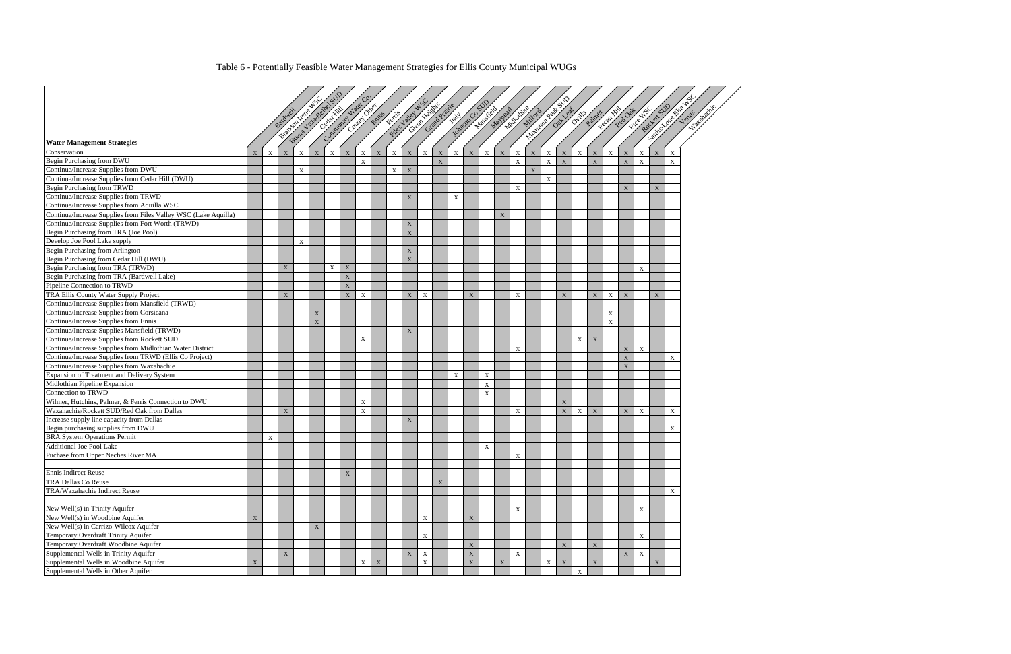## Table 6 - Potentially Feasible Water Management Strategies for Ellis County Municipal WUGs

|                                                                 |             |             |              |              | Buena Victoria SUD<br><b>Principal News ASC</b> |             | Community Water Co. |                           | Finder May NS |             |              | Clerk Young Prairie |             |             | <b>Historic Costs</b>     |                           |                           |                         | <b>Mountain Rept STO</b> |             |              |             |              |             |                        | SIDE ASSESSED ASSESSED |                           |
|-----------------------------------------------------------------|-------------|-------------|--------------|--------------|-------------------------------------------------|-------------|---------------------|---------------------------|---------------|-------------|--------------|---------------------|-------------|-------------|---------------------------|---------------------------|---------------------------|-------------------------|--------------------------|-------------|--------------|-------------|--------------|-------------|------------------------|------------------------|---------------------------|
|                                                                 |             |             | Bardwell     |              | Cebat Kill                                      |             |                     | Country Christian         |               |             |              |                     |             |             | Manifest                  | Mayleat                   | Nicologias<br>Millord     |                         |                          | Out leaf    | Ovitive A    | Painer      | Recapital    | Red Oat     | Roccer SUD<br>River NS |                        | Venis                     |
|                                                                 |             |             |              |              |                                                 |             |                     |                           |               |             |              |                     |             |             |                           |                           |                           |                         |                          |             |              |             |              |             |                        |                        |                           |
|                                                                 |             |             |              |              |                                                 |             |                     |                           |               |             |              |                     |             |             |                           |                           |                           |                         |                          |             |              |             |              |             |                        |                        |                           |
| <b>Water Management Strategies</b>                              |             |             |              |              |                                                 |             |                     |                           |               |             |              |                     |             |             |                           |                           |                           |                         |                          |             |              |             |              |             |                        |                        |                           |
| Conservation                                                    | X           | $\mathbf X$ | $\mathbf X$  | $\mathbf X$  | $\mathbf X$<br>$\mathbf X$                      | $\mathbf X$ | $\mathbf X$         | $\mathbf X$               | $\mathbf X$   | $\bold{X}$  | $\mathbf{X}$ | $\mathbf X$         | $\mathbf X$ | $\mathbf X$ | $\mathbf X$               | $\mathbf X$               | $\mathbf{X}$              | $\mathbf X$             | $\mathbf{X}$             | $\mathbf X$ | $\mathbf{X}$ | $\mathbf X$ | $\mathbf{X}$ | $\mathbf X$ | $\mathbf X$            | $\mathbf X$            | X                         |
| Begin Purchasing from DWU                                       |             |             |              |              |                                                 |             | $\mathbf X$         |                           |               |             |              | $\mathbf X$         |             |             |                           |                           | $\mathbf X$               |                         | $\mathbf{X}$             | $\mathbf X$ |              | $\mathbf X$ |              | $\mathbf X$ | $\mathbf X$            |                        | $\boldsymbol{\mathrm{X}}$ |
| Continue/Increase Supplies from DWU                             |             |             |              | $\mathbf{x}$ |                                                 |             |                     |                           | X             | $\mathbf X$ |              |                     |             |             |                           |                           |                           | $\overline{\mathbf{x}}$ |                          |             |              |             |              |             |                        |                        |                           |
| Continue/Increase Supplies from Cedar Hill (DWU)                |             |             |              |              |                                                 |             |                     |                           |               |             |              |                     |             |             |                           |                           |                           |                         | $\mathbf{X}$             |             |              |             |              |             |                        |                        |                           |
| Begin Purchasing from TRWD                                      |             |             |              |              |                                                 |             |                     |                           |               |             |              |                     |             |             |                           |                           | $\mathbf{X}$              |                         |                          |             |              |             |              | X           |                        | X                      |                           |
| Continue/Increase Supplies from TRWD                            |             |             |              |              |                                                 |             |                     |                           |               | $\mathbf X$ |              |                     | $\mathbf X$ |             |                           |                           |                           |                         |                          |             |              |             |              |             |                        |                        |                           |
| Continue/Increase Supplies from Aquilla WSC                     |             |             |              |              |                                                 |             |                     |                           |               |             |              |                     |             |             |                           |                           |                           |                         |                          |             |              |             |              |             |                        |                        |                           |
| Continue/Increase Supplies from Files Valley WSC (Lake Aquilla) |             |             |              |              |                                                 |             |                     |                           |               |             |              |                     |             |             |                           | $\boldsymbol{\mathrm{X}}$ |                           |                         |                          |             |              |             |              |             |                        |                        |                           |
| Continue/Increase Supplies from Fort Worth (TRWD)               |             |             |              |              |                                                 |             |                     |                           |               | $\mathbf X$ |              |                     |             |             |                           |                           |                           |                         |                          |             |              |             |              |             |                        |                        |                           |
| Begin Purchasing from TRA (Joe Pool)                            |             |             |              |              |                                                 |             |                     |                           |               | $\mathbf X$ |              |                     |             |             |                           |                           |                           |                         |                          |             |              |             |              |             |                        |                        |                           |
| Develop Joe Pool Lake supply                                    |             |             |              | X            |                                                 |             |                     |                           |               |             |              |                     |             |             |                           |                           |                           |                         |                          |             |              |             |              |             |                        |                        |                           |
| Begin Purchasing from Arlington                                 |             |             |              |              |                                                 |             |                     |                           |               | $\mathbf X$ |              |                     |             |             |                           |                           |                           |                         |                          |             |              |             |              |             |                        |                        |                           |
| Begin Purchasing from Cedar Hill (DWU)                          |             |             |              |              |                                                 |             |                     |                           |               | $\mathbf X$ |              |                     |             |             |                           |                           |                           |                         |                          |             |              |             |              |             |                        |                        |                           |
| Begin Purchasing from TRA (TRWD)                                |             |             | X            |              | $\boldsymbol{\mathrm{X}}$                       | $\mathbf X$ |                     |                           |               |             |              |                     |             |             |                           |                           |                           |                         |                          |             |              |             |              |             | $\mathbf X$            |                        |                           |
| Begin Purchasing from TRA (Bardwell Lake)                       |             |             |              |              |                                                 | $\mathbf X$ |                     |                           |               |             |              |                     |             |             |                           |                           |                           |                         |                          |             |              |             |              |             |                        |                        |                           |
| Pipeline Connection to TRWD                                     |             |             |              |              |                                                 | $\mathbf X$ |                     |                           |               |             |              |                     |             |             |                           |                           |                           |                         |                          |             |              |             |              |             |                        |                        |                           |
| TRA Ellis County Water Supply Project                           |             |             | $\mathbf{X}$ |              |                                                 | $\mathbf X$ | $\mathbf X$         |                           |               | $\mathbf X$ | $\mathbf{X}$ |                     |             | $\mathbf X$ |                           |                           | $\mathbf{X}$              |                         |                          | X           |              | X           | $\mathbf{X}$ | $\mathbf X$ |                        | $\mathbf{X}$           |                           |
| Continue/Increase Supplies from Mansfield (TRWD)                |             |             |              |              |                                                 |             |                     |                           |               |             |              |                     |             |             |                           |                           |                           |                         |                          |             |              |             |              |             |                        |                        |                           |
| Continue/Increase Supplies from Corsicana                       |             |             |              |              | $\mathbf X$                                     |             |                     |                           |               |             |              |                     |             |             |                           |                           |                           |                         |                          |             |              |             | $\mathbf X$  |             |                        |                        |                           |
| Continue/Increase Supplies from Ennis                           |             |             |              |              | $\mathbf{X}$                                    |             |                     |                           |               |             |              |                     |             |             |                           |                           |                           |                         |                          |             |              |             | $\mathbf{X}$ |             |                        |                        |                           |
| Continue/Increase Supplies Mansfield (TRWD)                     |             |             |              |              |                                                 |             |                     |                           |               | $\mathbf X$ |              |                     |             |             |                           |                           |                           |                         |                          |             |              |             |              |             |                        |                        |                           |
| Continue/Increase Supplies from Rockett SUD                     |             |             |              |              |                                                 |             | $\mathbf X$         |                           |               |             |              |                     |             |             |                           |                           |                           |                         |                          |             | $\mathbf{X}$ | $\mathbf X$ |              |             |                        |                        |                           |
| Continue/Increase Supplies from Midlothian Water District       |             |             |              |              |                                                 |             |                     |                           |               |             |              |                     |             |             |                           |                           | $\mathbf{X}$              |                         |                          |             |              |             |              | $\mathbf X$ | $\mathbf{X}$           |                        |                           |
| Continue/Increase Supplies from TRWD (Ellis Co Project)         |             |             |              |              |                                                 |             |                     |                           |               |             |              |                     |             |             |                           |                           |                           |                         |                          |             |              |             |              | $\mathbf X$ |                        |                        | $\mathbf X$               |
| Continue/Increase Supplies from Waxahachie                      |             |             |              |              |                                                 |             |                     |                           |               |             |              |                     |             |             |                           |                           |                           |                         |                          |             |              |             |              | $\mathbf X$ |                        |                        |                           |
| Expansion of Treatment and Delivery System                      |             |             |              |              |                                                 |             |                     |                           |               |             |              |                     | $\mathbf X$ |             | $\boldsymbol{\mathrm{X}}$ |                           |                           |                         |                          |             |              |             |              |             |                        |                        |                           |
| Midlothian Pipeline Expansion                                   |             |             |              |              |                                                 |             |                     |                           |               |             |              |                     |             |             | $\mathbf X$               |                           |                           |                         |                          |             |              |             |              |             |                        |                        |                           |
| Connection to TRWD                                              |             |             |              |              |                                                 |             |                     |                           |               |             |              |                     |             |             | $\mathbf X$               |                           |                           |                         |                          |             |              |             |              |             |                        |                        |                           |
| Wilmer, Hutchins, Palmer, & Ferris Connection to DWU            |             |             |              |              |                                                 |             | $\mathbf X$         |                           |               |             |              |                     |             |             |                           |                           |                           |                         |                          | $\mathbf X$ |              |             |              |             |                        |                        |                           |
| Waxahachie/Rockett SUD/Red Oak from Dallas                      |             |             | $\mathbf{X}$ |              |                                                 |             | X                   |                           |               |             |              |                     |             |             |                           |                           | $\boldsymbol{\mathrm{X}}$ |                         |                          | $\mathbf X$ | $\mathbf X$  | $\mathbf X$ |              | X           | $\mathbf X$            |                        | $\mathbf X$               |
| Increase supply line capacity from Dallas                       |             |             |              |              |                                                 |             |                     |                           |               | $\mathbf X$ |              |                     |             |             |                           |                           |                           |                         |                          |             |              |             |              |             |                        |                        |                           |
| Begin purchasing supplies from DWU                              |             |             |              |              |                                                 |             |                     |                           |               |             |              |                     |             |             |                           |                           |                           |                         |                          |             |              |             |              |             |                        |                        | $\mathbf X$               |
| <b>BRA</b> System Operations Permit                             |             | X           |              |              |                                                 |             |                     |                           |               |             |              |                     |             |             |                           |                           |                           |                         |                          |             |              |             |              |             |                        |                        |                           |
| Additional Joe Pool Lake                                        |             |             |              |              |                                                 |             |                     |                           |               |             |              |                     |             |             | $\mathbf{X}$              |                           |                           |                         |                          |             |              |             |              |             |                        |                        |                           |
| Puchase from Upper Neches River MA                              |             |             |              |              |                                                 |             |                     |                           |               |             |              |                     |             |             |                           |                           | $\mathbf X$               |                         |                          |             |              |             |              |             |                        |                        |                           |
|                                                                 |             |             |              |              |                                                 |             |                     |                           |               |             |              |                     |             |             |                           |                           |                           |                         |                          |             |              |             |              |             |                        |                        |                           |
| Ennis Indirect Reuse                                            |             |             |              |              |                                                 | $\mathbf X$ |                     |                           |               |             |              |                     |             |             |                           |                           |                           |                         |                          |             |              |             |              |             |                        |                        |                           |
| <b>TRA</b> Dallas Co Reuse                                      |             |             |              |              |                                                 |             |                     |                           |               |             |              | $\mathbf X$         |             |             |                           |                           |                           |                         |                          |             |              |             |              |             |                        |                        |                           |
| TRA/Waxahachie Indirect Reuse                                   |             |             |              |              |                                                 |             |                     |                           |               |             |              |                     |             |             |                           |                           |                           |                         |                          |             |              |             |              |             |                        |                        | $\mathbf X$               |
|                                                                 |             |             |              |              |                                                 |             |                     |                           |               |             |              |                     |             |             |                           |                           |                           |                         |                          |             |              |             |              |             |                        |                        |                           |
| New Well(s) in Trinity Aquifer                                  |             |             |              |              |                                                 |             |                     |                           |               |             |              |                     |             |             |                           |                           | $\mathbf X$               |                         |                          |             |              |             |              |             | X                      |                        |                           |
| New Well(s) in Woodbine Aquifer                                 | $\mathbf X$ |             |              |              |                                                 |             |                     |                           |               |             | $\mathbf{X}$ |                     |             | $\mathbf X$ |                           |                           |                           |                         |                          |             |              |             |              |             |                        |                        |                           |
| New Well(s) in Carrizo-Wilcox Aquifer                           |             |             |              |              | $\mathbf X$                                     |             |                     |                           |               |             |              |                     |             |             |                           |                           |                           |                         |                          |             |              |             |              |             |                        |                        |                           |
| Temporary Overdraft Trinity Aquifer                             |             |             |              |              |                                                 |             |                     |                           |               |             | $\mathbf X$  |                     |             |             |                           |                           |                           |                         |                          |             |              |             |              |             | $\mathbf X$            |                        |                           |
| Temporary Overdraft Woodbine Aquifer                            |             |             |              |              |                                                 |             |                     |                           |               |             |              |                     |             | $\mathbf X$ |                           |                           |                           |                         |                          | X           |              | $\mathbf X$ |              |             |                        |                        |                           |
| Supplemental Wells in Trinity Aquifer                           |             |             | $\mathbf X$  |              |                                                 |             |                     |                           |               | $\mathbf X$ | $\mathbf X$  |                     |             | $\mathbf X$ |                           |                           | $\mathbf X$               |                         |                          |             |              |             |              | $\mathbf X$ | $\mathbf X$            |                        |                           |
| Supplemental Wells in Woodbine Aquifer                          | X           |             |              |              |                                                 |             | X                   | $\boldsymbol{\mathrm{X}}$ |               |             | $\mathbf X$  |                     |             | $\mathbf X$ |                           | $\mathbf X$               |                           |                         | $\mathbf{X}$             | $\mathbf X$ |              | X           |              |             |                        | X                      |                           |
| Supplemental Wells in Other Aquifer                             |             |             |              |              |                                                 |             |                     |                           |               |             |              |                     |             |             |                           |                           |                           |                         |                          |             | $\mathbf X$  |             |              |             |                        |                        |                           |
|                                                                 |             |             |              |              |                                                 |             |                     |                           |               |             |              |                     |             |             |                           |                           |                           |                         |                          |             |              |             |              |             |                        |                        |                           |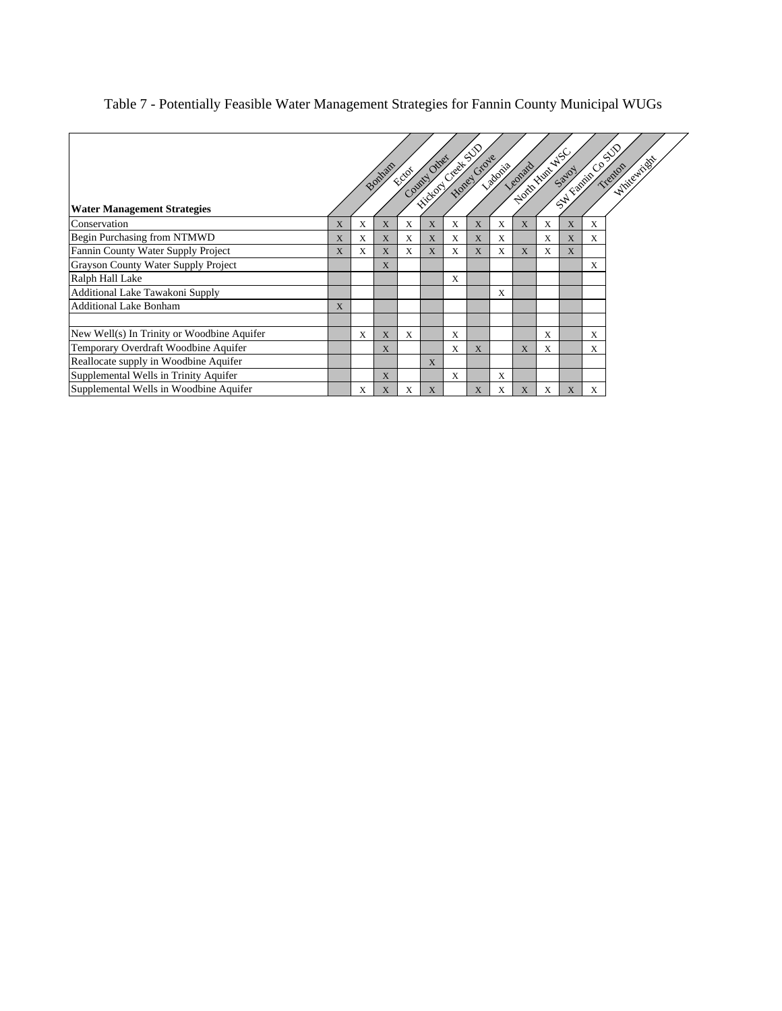## Table 7 - Potentially Feasible Water Management Strategies for Fannin County Municipal WUGs

|                                            |              |   | Bonham      | County Other<br>Fotoi |              | <b>Friday Call Strategy</b><br>Hotel Grove |   | Ladonia | Northwest N.S.<br>Leonard |   |             |              | ST EMMIN C 3JD<br>Whitewood<br>Trenton |
|--------------------------------------------|--------------|---|-------------|-----------------------|--------------|--------------------------------------------|---|---------|---------------------------|---|-------------|--------------|----------------------------------------|
| <b>Water Management Strategies</b>         |              |   |             |                       |              |                                            |   |         |                           |   |             |              |                                        |
| Conservation                               | $\mathbf{x}$ | X | X           | X                     | $\mathbf{x}$ | X                                          | X | X       | X                         | X | X           | X            |                                        |
| Begin Purchasing from NTMWD                | X            | X | X           | X                     | X            | X                                          | X | X       |                           | X | X           | X            |                                        |
| Fannin County Water Supply Project         | X            | X | X           | X                     | X            | X                                          | X | X       | X                         | X | X           |              |                                        |
| Grayson County Water Supply Project        |              |   | X           |                       |              |                                            |   |         |                           |   |             | X            |                                        |
| Ralph Hall Lake                            |              |   |             |                       |              | X                                          |   |         |                           |   |             |              |                                        |
| <b>Additional Lake Tawakoni Supply</b>     |              |   |             |                       |              |                                            |   | X       |                           |   |             |              |                                        |
| <b>Additional Lake Bonham</b>              | X            |   |             |                       |              |                                            |   |         |                           |   |             |              |                                        |
|                                            |              |   |             |                       |              |                                            |   |         |                           |   |             |              |                                        |
| New Well(s) In Trinity or Woodbine Aquifer |              | X | X           | X                     |              | X                                          |   |         |                           | X |             | $\mathbf{x}$ |                                        |
| Temporary Overdraft Woodbine Aquifer       |              |   | X           |                       |              | X                                          | X |         | X                         | X |             | X            |                                        |
| Reallocate supply in Woodbine Aquifer      |              |   |             |                       | X            |                                            |   |         |                           |   |             |              |                                        |
| Supplemental Wells in Trinity Aquifer      |              |   | X           |                       |              | X                                          |   | X       |                           |   |             |              |                                        |
| Supplemental Wells in Woodbine Aquifer     |              | X | $\mathbf X$ | X                     | X            |                                            | X | X       | X                         | X | $\mathbf X$ | X            |                                        |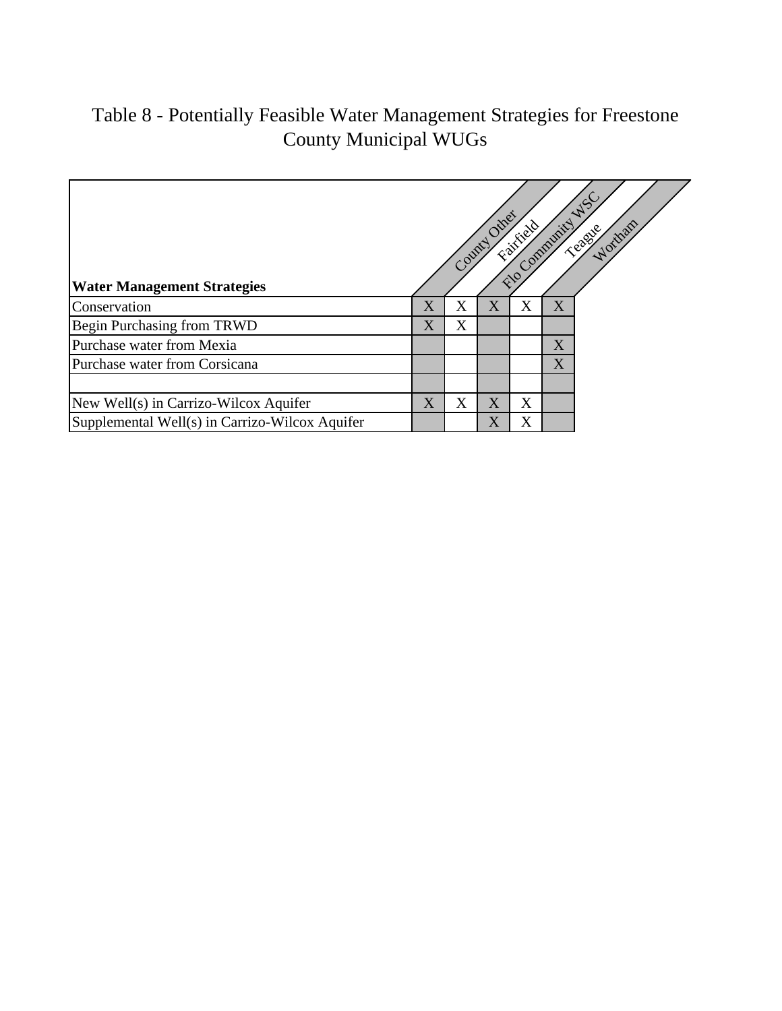# Table 8 - Potentially Feasible Water Management Strategies for Freestone County Municipal WUGs

| <b>Water Management Strategies</b>             |                       |   | County Other            | Fairfield<br>$\hat{\mathbf{c}}$ | Community | $A^{C}$<br>Wortham<br><b>SERVICE</b> |
|------------------------------------------------|-----------------------|---|-------------------------|---------------------------------|-----------|--------------------------------------|
| Conservation                                   | $\overline{\text{X}}$ | X | X                       | X                               | X         |                                      |
| Begin Purchasing from TRWD                     | $\overline{\text{X}}$ | X |                         |                                 |           |                                      |
| Purchase water from Mexia                      |                       |   |                         |                                 | X         |                                      |
| Purchase water from Corsicana                  |                       |   |                         |                                 | X         |                                      |
|                                                |                       |   |                         |                                 |           |                                      |
| New Well(s) in Carrizo-Wilcox Aquifer          | Χ                     | Х | Χ                       | Χ                               |           |                                      |
| Supplemental Well(s) in Carrizo-Wilcox Aquifer |                       |   | $\overline{\mathrm{X}}$ | X                               |           |                                      |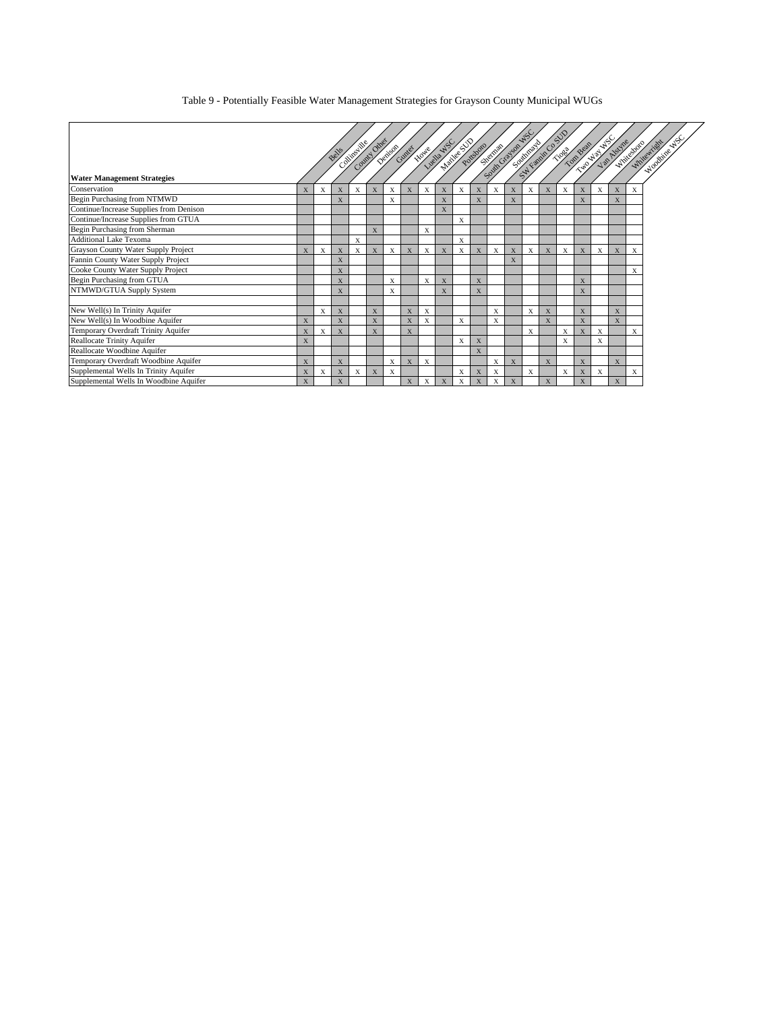Table 9 - Potentially Feasible Water Management Strategies for Grayson County Municipal WUGs

|                                         |   |   |             |           |              |   |              |             |                                 |   |              |                 |              |                           |   | Saltarian Co. S.IV |            |   |              |   | <b>CONTRACTOR AND ARTISTS</b> |
|-----------------------------------------|---|---|-------------|-----------|--------------|---|--------------|-------------|---------------------------------|---|--------------|-----------------|--------------|---------------------------|---|--------------------|------------|---|--------------|---|-------------------------------|
|                                         |   |   |             | Colimbian | County Other |   |              |             | Munice Poteboro<br>However Ways |   |              | Signal Contract |              |                           |   |                    | Tions Real |   |              |   | Woodbine WSC                  |
|                                         |   |   | Bells       |           |              |   | Demonstrat   |             |                                 |   |              |                 |              |                           |   |                    |            |   |              |   |                               |
|                                         |   |   |             |           |              |   |              |             |                                 |   |              |                 |              |                           |   |                    |            |   |              |   |                               |
| <b>Water Management Strategies</b>      |   |   |             |           |              |   |              |             |                                 |   |              |                 |              |                           |   |                    |            |   |              |   |                               |
| Conservation                            | X | X | X           | X         | X            | X | X            | X           | X                               | X | X            | X               | $\mathbf{X}$ | X                         | X | X                  | X          | X | X            | X |                               |
| Begin Purchasing from NTMWD             |   |   | X           |           |              | X |              |             | X                               |   | X            |                 | X            |                           |   |                    | X          |   | X            |   |                               |
| Continue/Increase Supplies from Denison |   |   |             |           |              |   |              |             | X                               |   |              |                 |              |                           |   |                    |            |   |              |   |                               |
| Continue/Increase Supplies from GTUA    |   |   |             |           |              |   |              |             |                                 | X |              |                 |              |                           |   |                    |            |   |              |   |                               |
| Begin Purchasing from Sherman           |   |   |             |           | X            |   |              | X           |                                 |   |              |                 |              |                           |   |                    |            |   |              |   |                               |
| <b>Additional Lake Texoma</b>           |   |   |             | X         |              |   |              |             |                                 | X |              |                 |              |                           |   |                    |            |   |              |   |                               |
| Grayson County Water Supply Project     | X | X | $\mathbf X$ | X         | X            | X | X            | X           | X                               | X | X            | X               | X            | X                         | X | X                  | X          | X | $\mathbf X$  | X |                               |
| Fannin County Water Supply Project      |   |   | X           |           |              |   |              |             |                                 |   |              |                 | X            |                           |   |                    |            |   |              |   |                               |
| Cooke County Water Supply Project       |   |   | X           |           |              |   |              |             |                                 |   |              |                 |              |                           |   |                    |            |   |              | X |                               |
| Begin Purchasing from GTUA              |   |   | X           |           |              | X |              | X           | X                               |   | X            |                 |              |                           |   |                    | X          |   |              |   |                               |
| NTMWD/GTUA Supply System                |   |   | X           |           |              | X |              |             | X                               |   | X            |                 |              |                           |   |                    | X          |   |              |   |                               |
|                                         |   |   |             |           |              |   |              |             |                                 |   |              |                 |              |                           |   |                    |            |   |              |   |                               |
| New Well(s) In Trinity Aquifer          |   | X | X           |           | X            |   | $\mathbf{x}$ | X           |                                 |   |              | X               |              | $\boldsymbol{\mathrm{X}}$ | X |                    | X          |   | X            |   |                               |
| New Well(s) In Woodbine Aquifer         | X |   | X           |           | X            |   | X            | X           |                                 | X |              | X               |              |                           | X |                    | X          |   | X            |   |                               |
| Temporary Overdraft Trinity Aquifer     | X | X | X           |           | X            |   | X            |             |                                 |   |              |                 |              | X                         |   | X                  | X          | X |              | X |                               |
| Reallocate Trinity Aquifer              | X |   |             |           |              |   |              |             |                                 | X | X            |                 |              |                           |   | X                  |            | X |              |   |                               |
| Reallocate Woodbine Aquifer             |   |   |             |           |              |   |              |             |                                 |   | $\mathbf{x}$ |                 |              |                           |   |                    |            |   |              |   |                               |
| Temporary Overdraft Woodbine Aquifer    | X |   | X           |           |              | X | X            | $\mathbf x$ |                                 |   |              | X               | $\mathbf{x}$ |                           | X |                    | X          |   | $\mathbf{x}$ |   |                               |
| Supplemental Wells In Trinity Aquifer   | X | X | X           | X         | X            | X |              |             |                                 | X | X            | X               |              | X                         |   | X                  | X          | X |              | X |                               |
| Supplemental Wells In Woodbine Aquifer  | X |   | X           |           |              |   | X            | $\mathbf X$ | $\mathbf X$                     | X | X            | X               | $\mathbf x$  |                           | X |                    | X          |   | X            |   |                               |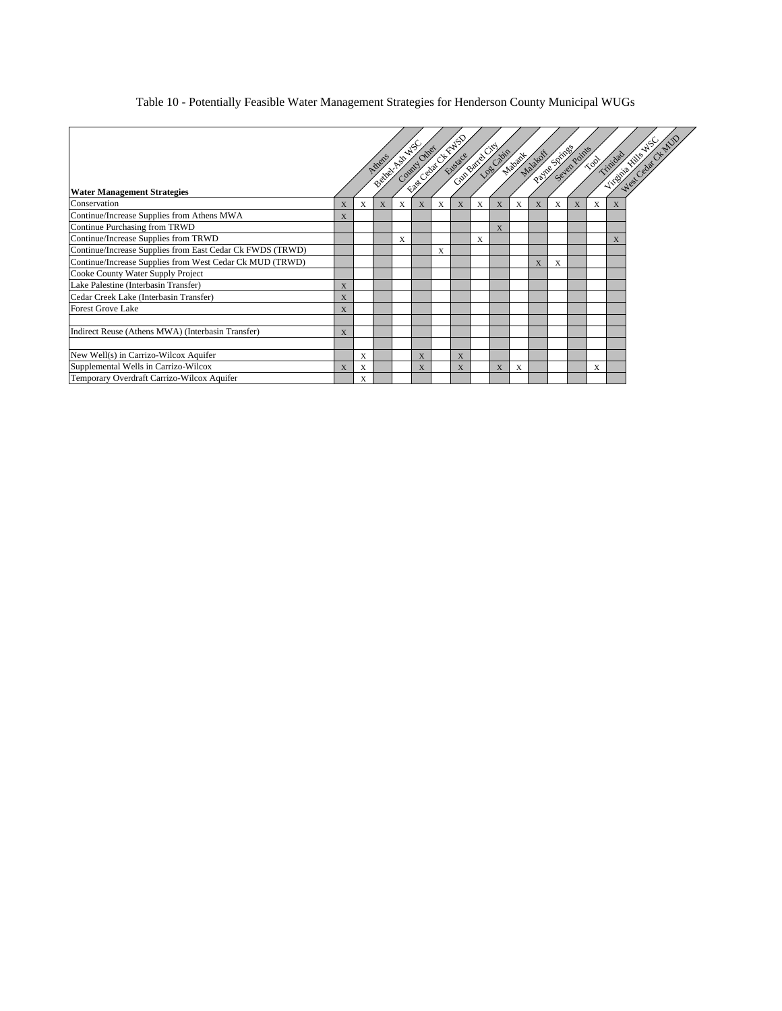#### Table 10 - Potentially Feasible Water Management Strategies for Henderson County Municipal WUGs

|                                                           |             |   | Athens | Beitre Communication |   |   | <b>CONTRACTOR</b><br>Capital Control Manufacture |   |              |   |   |   | Ratine String Points | $\sim 10^{3}$ | Trinidad | <b>WARD ASSESSED</b> |
|-----------------------------------------------------------|-------------|---|--------|----------------------|---|---|--------------------------------------------------|---|--------------|---|---|---|----------------------|---------------|----------|----------------------|
| <b>Water Management Strategies</b>                        |             |   |        |                      |   |   |                                                  |   |              |   |   |   |                      |               |          |                      |
| Conservation                                              | $\mathbf x$ | X | X      | X                    |   | X | X                                                | X | $\mathbf{x}$ | X |   | X | $\mathbf{x}$         | X             |          |                      |
| Continue/Increase Supplies from Athens MWA                | X           |   |        |                      |   |   |                                                  |   |              |   |   |   |                      |               |          |                      |
| Continue Purchasing from TRWD                             |             |   |        |                      |   |   |                                                  |   | X            |   |   |   |                      |               |          |                      |
| Continue/Increase Supplies from TRWD                      |             |   |        | X                    |   |   |                                                  | X |              |   |   |   |                      |               |          |                      |
| Continue/Increase Supplies from East Cedar Ck FWDS (TRWD) |             |   |        |                      |   | X |                                                  |   |              |   |   |   |                      |               |          |                      |
| Continue/Increase Supplies from West Cedar Ck MUD (TRWD)  |             |   |        |                      |   |   |                                                  |   |              |   | X | X |                      |               |          |                      |
| Cooke County Water Supply Project                         |             |   |        |                      |   |   |                                                  |   |              |   |   |   |                      |               |          |                      |
| Lake Palestine (Interbasin Transfer)                      | X           |   |        |                      |   |   |                                                  |   |              |   |   |   |                      |               |          |                      |
| Cedar Creek Lake (Interbasin Transfer)                    | X           |   |        |                      |   |   |                                                  |   |              |   |   |   |                      |               |          |                      |
| <b>Forest Grove Lake</b>                                  | X           |   |        |                      |   |   |                                                  |   |              |   |   |   |                      |               |          |                      |
|                                                           |             |   |        |                      |   |   |                                                  |   |              |   |   |   |                      |               |          |                      |
| Indirect Reuse (Athens MWA) (Interbasin Transfer)         | X           |   |        |                      |   |   |                                                  |   |              |   |   |   |                      |               |          |                      |
|                                                           |             |   |        |                      |   |   |                                                  |   |              |   |   |   |                      |               |          |                      |
| New Well(s) in Carrizo-Wilcox Aquifer                     |             | X |        |                      | X |   | X                                                |   |              |   |   |   |                      |               |          |                      |
| Supplemental Wells in Carrizo-Wilcox                      | $\mathbf x$ | X |        |                      | X |   | X                                                |   | X            | X |   |   |                      | X             |          |                      |
| Temporary Overdraft Carrizo-Wilcox Aquifer                |             | X |        |                      |   |   |                                                  |   |              |   |   |   |                      |               |          |                      |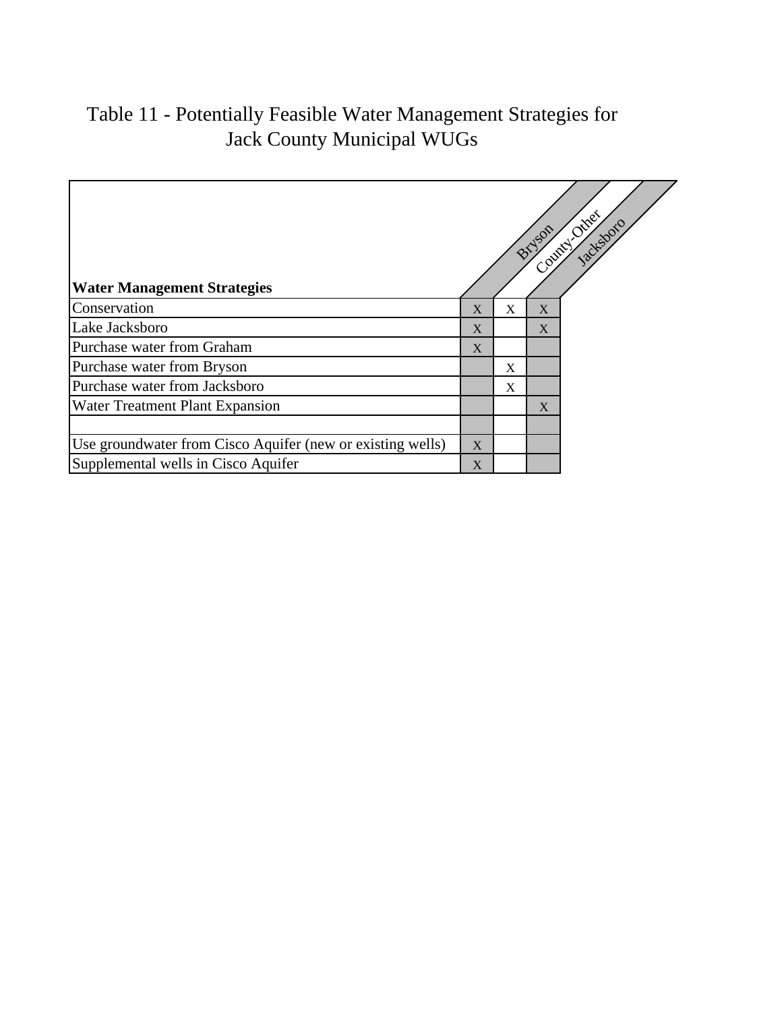# Table 11 - Potentially Feasible Water Management Strategies for Jack County Municipal WUGs

| <b>Water Management Strategies</b>                         |                |   | Bryson         | Connect Other<br>Jackstonio |
|------------------------------------------------------------|----------------|---|----------------|-----------------------------|
| Conservation                                               | X              | X | $\overline{X}$ |                             |
| Lake Jacksboro                                             | X              |   | X              |                             |
| Purchase water from Graham                                 | X              |   |                |                             |
| Purchase water from Bryson                                 |                | X |                |                             |
| Purchase water from Jacksboro                              |                | X |                |                             |
| Water Treatment Plant Expansion                            |                |   | X              |                             |
|                                                            |                |   |                |                             |
| Use groundwater from Cisco Aquifer (new or existing wells) | $\overline{X}$ |   |                |                             |
| Supplemental wells in Cisco Aquifer                        | X              |   |                |                             |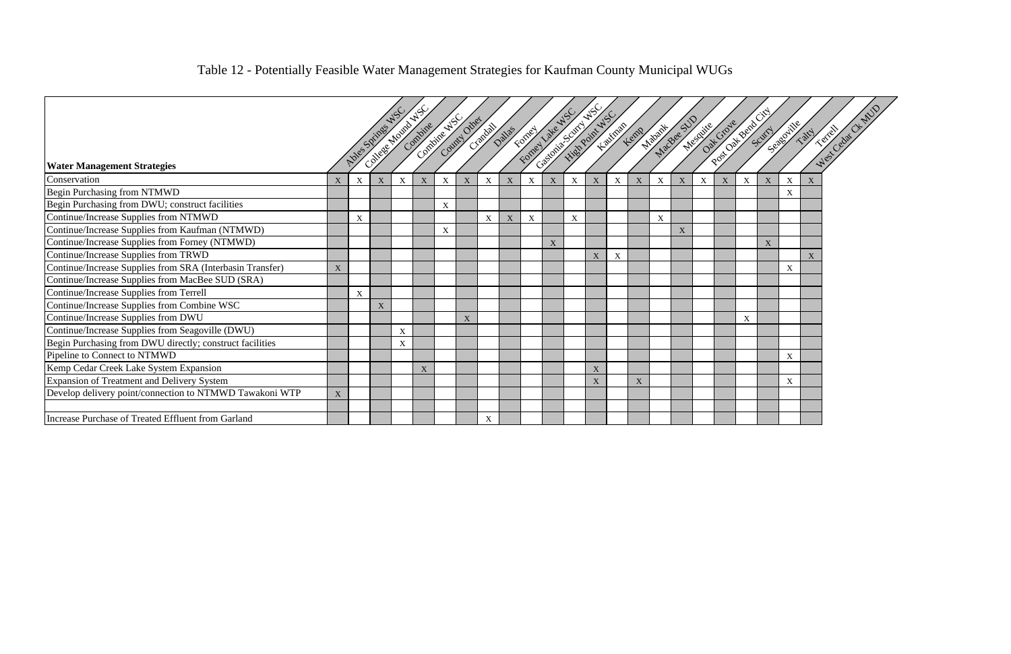| <b>Water Management Strategies</b>                        |             | Mos Spines |             | College Mounty AS | Compine     | Control Council Other |             | Crandel Daties |             | FOTOST      | Castom Existing Divine NS<br>Formey are NS |                  |             | Hautman     | Marian Bee STV<br>Lemp    |                           |   |             | Mesquite Grove |             | Post of Bond City | Seasonitle  | <b>Hair</b>      |
|-----------------------------------------------------------|-------------|------------|-------------|-------------------|-------------|-----------------------|-------------|----------------|-------------|-------------|--------------------------------------------|------------------|-------------|-------------|---------------------------|---------------------------|---|-------------|----------------|-------------|-------------------|-------------|------------------|
| Conservation                                              | X           | X          |             | X                 | $\mathbf X$ | $\mathbf X$           | $\mathbf X$ | $\mathbf X$    | $\mathbf X$ | $\mathbf X$ | $\mathbf X$                                | X                | $\mathbf X$ | $\mathbf X$ |                           | $\mathbf X$               | X | $\mathbf X$ | $\mathbf X$    | $\mathbf X$ | $\mathbf X$       | $\mathbf X$ |                  |
| Begin Purchasing from NTMWD                               |             |            |             |                   |             |                       |             |                |             |             |                                            |                  |             |             |                           |                           |   |             |                |             |                   | $\mathbf X$ |                  |
| Begin Purchasing from DWU; construct facilities           |             |            |             |                   |             | $\mathbf X$           |             |                |             |             |                                            |                  |             |             |                           |                           |   |             |                |             |                   |             |                  |
| Continue/Increase Supplies from NTMWD                     |             | X          |             |                   |             |                       |             | $\mathbf X$    | $\mathbf X$ | $\mathbf X$ |                                            | $\boldsymbol{X}$ |             |             |                           | $\boldsymbol{\mathrm{X}}$ |   |             |                |             |                   |             |                  |
| Continue/Increase Supplies from Kaufman (NTMWD)           |             |            |             |                   |             | $\mathbf X$           |             |                |             |             |                                            |                  |             |             |                           |                           | X |             |                |             |                   |             |                  |
| Continue/Increase Supplies from Forney (NTMWD)            |             |            |             |                   |             |                       |             |                |             |             | $\mathbf X$                                |                  |             |             |                           |                           |   |             |                |             | X                 |             |                  |
| Continue/Increase Supplies from TRWD                      |             |            |             |                   |             |                       |             |                |             |             |                                            |                  | X           | X           |                           |                           |   |             |                |             |                   |             | $\boldsymbol{X}$ |
| Continue/Increase Supplies from SRA (Interbasin Transfer) | $\mathbf X$ |            |             |                   |             |                       |             |                |             |             |                                            |                  |             |             |                           |                           |   |             |                |             |                   | $\mathbf X$ |                  |
| Continue/Increase Supplies from MacBee SUD (SRA)          |             |            |             |                   |             |                       |             |                |             |             |                                            |                  |             |             |                           |                           |   |             |                |             |                   |             |                  |
| Continue/Increase Supplies from Terrell                   |             | X          |             |                   |             |                       |             |                |             |             |                                            |                  |             |             |                           |                           |   |             |                |             |                   |             |                  |
| Continue/Increase Supplies from Combine WSC               |             |            | $\mathbf X$ |                   |             |                       |             |                |             |             |                                            |                  |             |             |                           |                           |   |             |                |             |                   |             |                  |
| Continue/Increase Supplies from DWU                       |             |            |             |                   |             |                       | $\mathbf X$ |                |             |             |                                            |                  |             |             |                           |                           |   |             |                | X           |                   |             |                  |
| Continue/Increase Supplies from Seagoville (DWU)          |             |            |             | $\mathbf X$       |             |                       |             |                |             |             |                                            |                  |             |             |                           |                           |   |             |                |             |                   |             |                  |
| Begin Purchasing from DWU directly; construct facilities  |             |            |             | X                 |             |                       |             |                |             |             |                                            |                  |             |             |                           |                           |   |             |                |             |                   |             |                  |
| Pipeline to Connect to NTMWD                              |             |            |             |                   |             |                       |             |                |             |             |                                            |                  |             |             |                           |                           |   |             |                |             |                   | X           |                  |
| Kemp Cedar Creek Lake System Expansion                    |             |            |             |                   | $\mathbf X$ |                       |             |                |             |             |                                            |                  | $\mathbf X$ |             |                           |                           |   |             |                |             |                   |             |                  |
| Expansion of Treatment and Delivery System                |             |            |             |                   |             |                       |             |                |             |             |                                            |                  | X           |             | $\boldsymbol{\mathrm{X}}$ |                           |   |             |                |             |                   | X           |                  |
| Develop delivery point/connection to NTMWD Tawakoni WTP   | X           |            |             |                   |             |                       |             |                |             |             |                                            |                  |             |             |                           |                           |   |             |                |             |                   |             |                  |
| Increase Purchase of Treated Effluent from Garland        |             |            |             |                   |             |                       |             | $\mathbf X$    |             |             |                                            |                  |             |             |                           |                           |   |             |                |             |                   |             |                  |

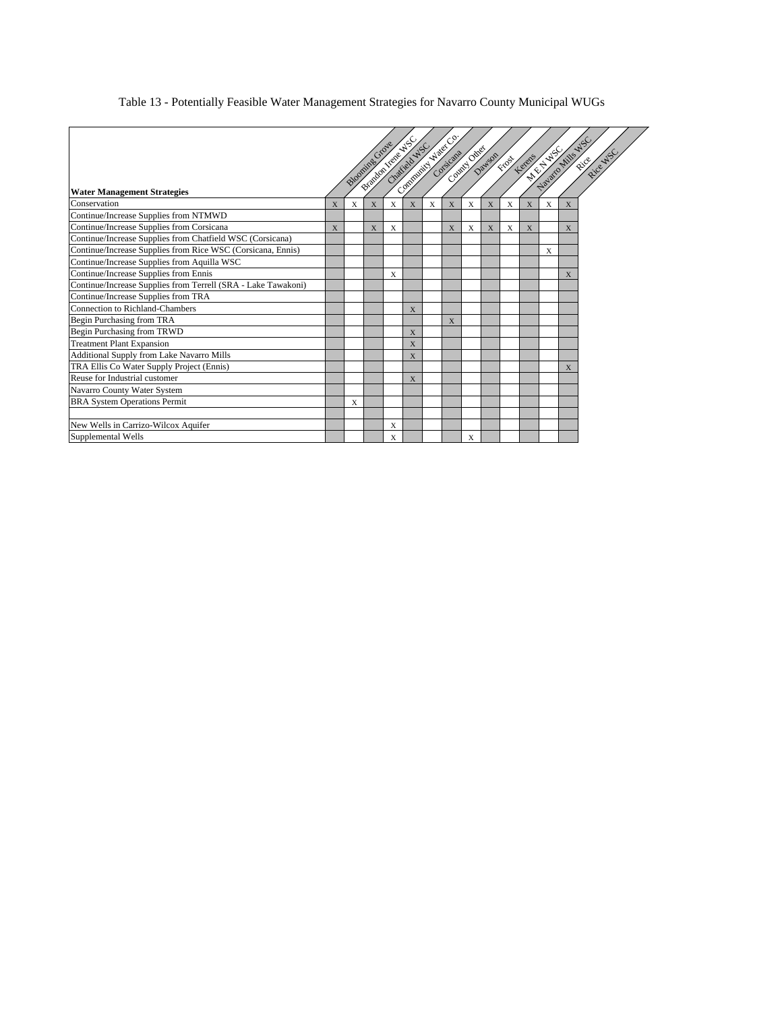#### Table 13 - Potentially Feasible Water Management Strategies for Navarro County Municipal WUGs

|                                                               |   |          | Britain Irele NSC |   |                |   | <b>CONTRACTOR</b> |           |             |              |              |   |                |          |
|---------------------------------------------------------------|---|----------|-------------------|---|----------------|---|-------------------|-----------|-------------|--------------|--------------|---|----------------|----------|
|                                                               |   |          |                   |   | Chattleb MSC   |   | Consicana         | Computing |             |              | <b>HIVES</b> |   |                | Rice WSC |
|                                                               |   | Blooming |                   |   |                |   |                   |           | Dawson      | <b>FIDST</b> | Kerens       |   |                | River    |
|                                                               |   |          |                   |   |                |   |                   |           |             |              |              |   |                |          |
| <b>Water Management Strategies</b>                            |   |          |                   |   |                |   |                   |           |             |              |              |   | Navaro Mile WS |          |
| Conservation                                                  | X | X        | X                 | X | X              | X | X                 | X         | X           | X            | X            | X | X              |          |
| Continue/Increase Supplies from NTMWD                         |   |          |                   |   |                |   |                   |           |             |              |              |   |                |          |
| Continue/Increase Supplies from Corsicana                     | X |          | X                 | X |                |   | X                 | X         | $\mathbf X$ | X            | X            |   | $\mathbf{X}$   |          |
| Continue/Increase Supplies from Chatfield WSC (Corsicana)     |   |          |                   |   |                |   |                   |           |             |              |              |   |                |          |
| Continue/Increase Supplies from Rice WSC (Corsicana, Ennis)   |   |          |                   |   |                |   |                   |           |             |              |              | X |                |          |
| Continue/Increase Supplies from Aquilla WSC                   |   |          |                   |   |                |   |                   |           |             |              |              |   |                |          |
| Continue/Increase Supplies from Ennis                         |   |          |                   | X |                |   |                   |           |             |              |              |   | X              |          |
| Continue/Increase Supplies from Terrell (SRA - Lake Tawakoni) |   |          |                   |   |                |   |                   |           |             |              |              |   |                |          |
| Continue/Increase Supplies from TRA                           |   |          |                   |   |                |   |                   |           |             |              |              |   |                |          |
| Connection to Richland-Chambers                               |   |          |                   |   | X              |   |                   |           |             |              |              |   |                |          |
| Begin Purchasing from TRA                                     |   |          |                   |   |                |   | X                 |           |             |              |              |   |                |          |
| Begin Purchasing from TRWD                                    |   |          |                   |   | X              |   |                   |           |             |              |              |   |                |          |
| <b>Treatment Plant Expansion</b>                              |   |          |                   |   | X              |   |                   |           |             |              |              |   |                |          |
| Additional Supply from Lake Navarro Mills                     |   |          |                   |   | $\overline{X}$ |   |                   |           |             |              |              |   |                |          |
| TRA Ellis Co Water Supply Project (Ennis)                     |   |          |                   |   |                |   |                   |           |             |              |              |   | X              |          |
| Reuse for Industrial customer                                 |   |          |                   |   | X              |   |                   |           |             |              |              |   |                |          |
| Navarro County Water System                                   |   |          |                   |   |                |   |                   |           |             |              |              |   |                |          |
| <b>BRA System Operations Permit</b>                           |   | X        |                   |   |                |   |                   |           |             |              |              |   |                |          |
|                                                               |   |          |                   |   |                |   |                   |           |             |              |              |   |                |          |
| New Wells in Carrizo-Wilcox Aquifer                           |   |          |                   | X |                |   |                   |           |             |              |              |   |                |          |
| Supplemental Wells                                            |   |          |                   | X |                |   |                   | X         |             |              |              |   |                |          |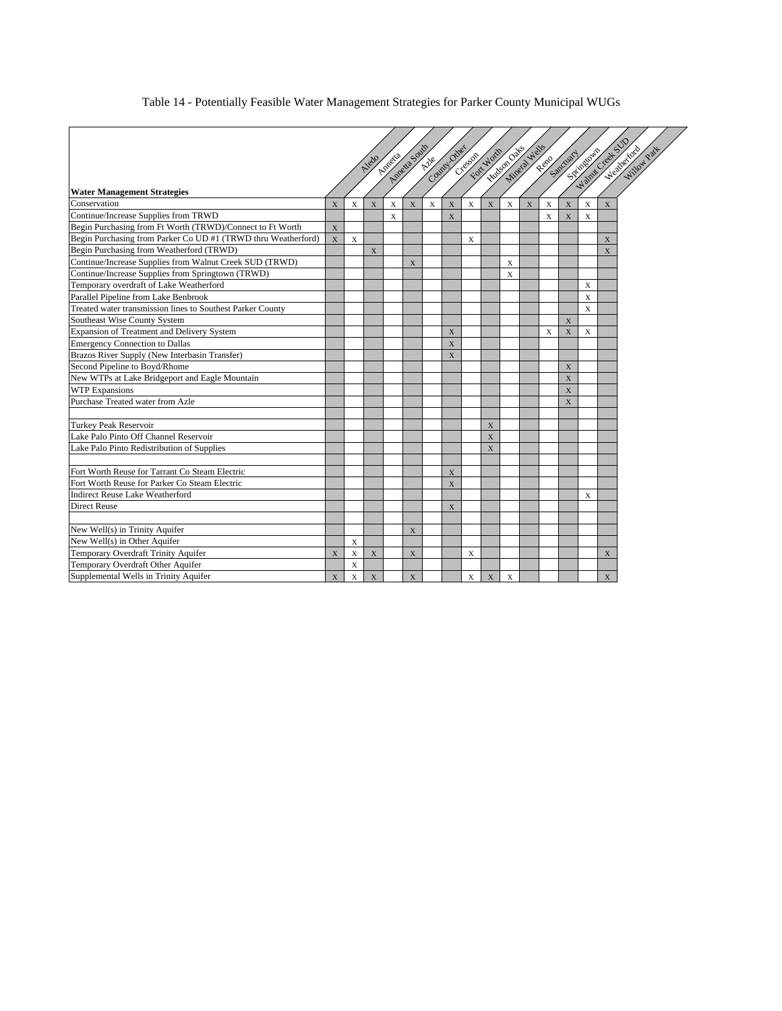#### Table 14 - Potentially Feasible Water Management Strategies for Parker County Municipal WUGs

|                                                               |              |              |                | Anteria     | Ameta Soun   | County Ones |                | For Worth<br>Creeson | Hudson Oaks    |             | Mineral Wells  |             | Spinagowa<br>Reno Sandwary |   | Walter Creek SU | Westwerton<br>Willow Part |
|---------------------------------------------------------------|--------------|--------------|----------------|-------------|--------------|-------------|----------------|----------------------|----------------|-------------|----------------|-------------|----------------------------|---|-----------------|---------------------------|
|                                                               |              |              |                |             |              |             |                |                      |                |             |                |             |                            |   |                 |                           |
| <b>Water Management Strategies</b>                            |              |              |                |             |              |             |                |                      |                |             |                |             |                            |   |                 |                           |
| Conservation                                                  | $\mathbf{x}$ | X            | $\overline{X}$ | $\mathbf x$ | $\mathbf{x}$ | X           | $\overline{X}$ | X                    | $\overline{X}$ | $\mathbf x$ | $\overline{X}$ | X           | $\mathbf{X}$               | X | X               |                           |
| Continue/Increase Supplies from TRWD                          |              |              |                | $\bar{X}$   |              |             | $\bar{X}$      |                      |                |             |                | $\mathbf x$ | $\overline{X}$             | X |                 |                           |
| Begin Purchasing from Ft Worth (TRWD)/Connect to Ft Worth     | $\mathbf X$  |              |                |             |              |             |                |                      |                |             |                |             |                            |   |                 |                           |
| Begin Purchasing from Parker Co UD #1 (TRWD thru Weatherford) | $\mathbf X$  | $\mathbf{X}$ |                |             |              |             |                | X                    |                |             |                |             |                            |   | $\mathbf X$     |                           |
| Begin Purchasing from Weatherford (TRWD)                      |              |              | $\mathbf{X}$   |             |              |             |                |                      |                |             |                |             |                            |   | $\mathbf{X}$    |                           |
| Continue/Increase Supplies from Walnut Creek SUD (TRWD)       |              |              |                |             | X            |             |                |                      |                | X           |                |             |                            |   |                 |                           |
| Continue/Increase Supplies from Springtown (TRWD)             |              |              |                |             |              |             |                |                      |                | X           |                |             |                            |   |                 |                           |
| Temporary overdraft of Lake Weatherford                       |              |              |                |             |              |             |                |                      |                |             |                |             |                            | X |                 |                           |
| Parallel Pipeline from Lake Benbrook                          |              |              |                |             |              |             |                |                      |                |             |                |             |                            | X |                 |                           |
| Treated water transmission lines to Southest Parker County    |              |              |                |             |              |             |                |                      |                |             |                |             |                            | X |                 |                           |
| Southeast Wise County System                                  |              |              |                |             |              |             |                |                      |                |             |                |             | X                          |   |                 |                           |
| Expansion of Treatment and Delivery System                    |              |              |                |             |              |             | X              |                      |                |             |                | X           | X                          | X |                 |                           |
| <b>Emergency Connection to Dallas</b>                         |              |              |                |             |              |             | $\mathbf X$    |                      |                |             |                |             |                            |   |                 |                           |
| Brazos River Supply (New Interbasin Transfer)                 |              |              |                |             |              |             | X              |                      |                |             |                |             |                            |   |                 |                           |
| Second Pipeline to Boyd/Rhome                                 |              |              |                |             |              |             |                |                      |                |             |                |             | X                          |   |                 |                           |
| New WTPs at Lake Bridgeport and Eagle Mountain                |              |              |                |             |              |             |                |                      |                |             |                |             | X                          |   |                 |                           |
| <b>WTP Expansions</b>                                         |              |              |                |             |              |             |                |                      |                |             |                |             | X                          |   |                 |                           |
| Purchase Treated water from Azle                              |              |              |                |             |              |             |                |                      |                |             |                |             | X                          |   |                 |                           |
|                                                               |              |              |                |             |              |             |                |                      |                |             |                |             |                            |   |                 |                           |
| Turkey Peak Reservoir                                         |              |              |                |             |              |             |                |                      | X              |             |                |             |                            |   |                 |                           |
| Lake Palo Pinto Off Channel Reservoir                         |              |              |                |             |              |             |                |                      | $\mathbf{X}$   |             |                |             |                            |   |                 |                           |
| Lake Palo Pinto Redistribution of Supplies                    |              |              |                |             |              |             |                |                      | X              |             |                |             |                            |   |                 |                           |
|                                                               |              |              |                |             |              |             |                |                      |                |             |                |             |                            |   |                 |                           |
| Fort Worth Reuse for Tarrant Co Steam Electric                |              |              |                |             |              |             | X              |                      |                |             |                |             |                            |   |                 |                           |
| Fort Worth Reuse for Parker Co Steam Electric                 |              |              |                |             |              |             | X              |                      |                |             |                |             |                            |   |                 |                           |
| <b>Indirect Reuse Lake Weatherford</b>                        |              |              |                |             |              |             |                |                      |                |             |                |             |                            | X |                 |                           |
| <b>Direct Reuse</b>                                           |              |              |                |             |              |             | X              |                      |                |             |                |             |                            |   |                 |                           |
|                                                               |              |              |                |             |              |             |                |                      |                |             |                |             |                            |   |                 |                           |
| New Well(s) in Trinity Aquifer                                |              |              |                |             | X            |             |                |                      |                |             |                |             |                            |   |                 |                           |
| New Well(s) in Other Aquifer                                  |              | $\mathbf X$  |                |             |              |             |                |                      |                |             |                |             |                            |   |                 |                           |
| Temporary Overdraft Trinity Aquifer                           | $\mathbf{x}$ | X            | $\mathbf{x}$   |             | $\mathbf{x}$ |             |                | X                    |                |             |                |             |                            |   | $\mathbf{x}$    |                           |
| Temporary Overdraft Other Aquifer                             |              | $\mathbf x$  |                |             |              |             |                |                      |                |             |                |             |                            |   |                 |                           |
| Supplemental Wells in Trinity Aquifer                         |              |              |                |             |              |             |                |                      |                |             |                |             |                            |   |                 |                           |
|                                                               | $\mathbf X$  | X            | $\mathbf X$    |             | $\mathbf X$  |             |                | $\mathbf X$          | $\mathbf X$    | $\mathbf X$ |                |             |                            |   | $\mathbf{X}$    |                           |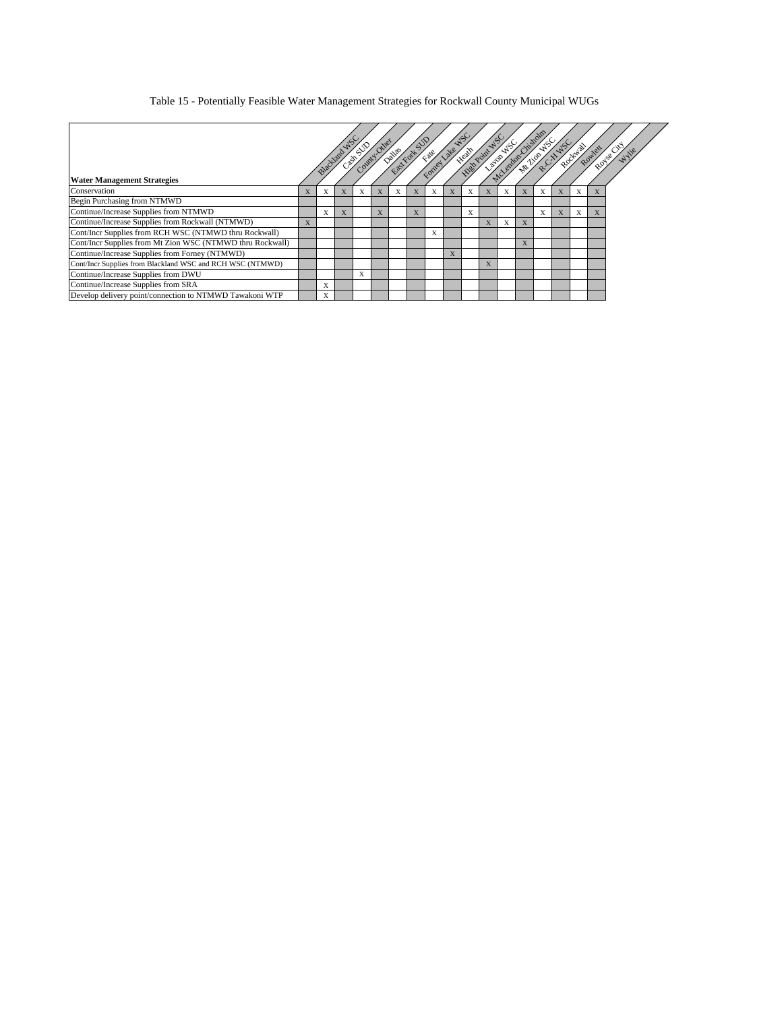#### Table 15 - Potentially Feasible Water Management Strategies for Rockwall County Municipal WUGs

| <b>Water Management Strategies</b>                        |   | Blackland |   |   | County Other | Dallas Fort St |   |   | Fate Late | $\infty$ |   |   |   |   |              | Rockway | Rowlet | Royse City yie |
|-----------------------------------------------------------|---|-----------|---|---|--------------|----------------|---|---|-----------|----------|---|---|---|---|--------------|---------|--------|----------------|
| Conservation                                              |   | X         | X | X |              | X              | X | X |           | X        | X | X |   |   | X            | X       |        |                |
| Begin Purchasing from NTMWD                               |   |           |   |   |              |                |   |   |           |          |   |   |   |   |              |         |        |                |
| Continue/Increase Supplies from NTMWD                     |   | X         | X |   | X            |                | X |   |           | X        |   |   |   | X | $\mathbf{X}$ | X       | X      |                |
| Continue/Increase Supplies from Rockwall (NTMWD)          | X |           |   |   |              |                |   |   |           |          | X | X | X |   |              |         |        |                |
| Cont/Incr Supplies from RCH WSC (NTMWD thru Rockwall)     |   |           |   |   |              |                |   | X |           |          |   |   |   |   |              |         |        |                |
| Cont/Incr Supplies from Mt Zion WSC (NTMWD thru Rockwall) |   |           |   |   |              |                |   |   |           |          |   |   | A |   |              |         |        |                |
| Continue/Increase Supplies from Forney (NTMWD)            |   |           |   |   |              |                |   |   | X         |          |   |   |   |   |              |         |        |                |
| Cont/Incr Supplies from Blackland WSC and RCH WSC (NTMWD) |   |           |   |   |              |                |   |   |           |          | X |   |   |   |              |         |        |                |
| Continue/Increase Supplies from DWU                       |   |           |   | X |              |                |   |   |           |          |   |   |   |   |              |         |        |                |
| Continue/Increase Supplies from SRA                       |   | X         |   |   |              |                |   |   |           |          |   |   |   |   |              |         |        |                |
| Develop delivery point/connection to NTMWD Tawakoni WTP   |   | X         |   |   |              |                |   |   |           |          |   |   |   |   |              |         |        |                |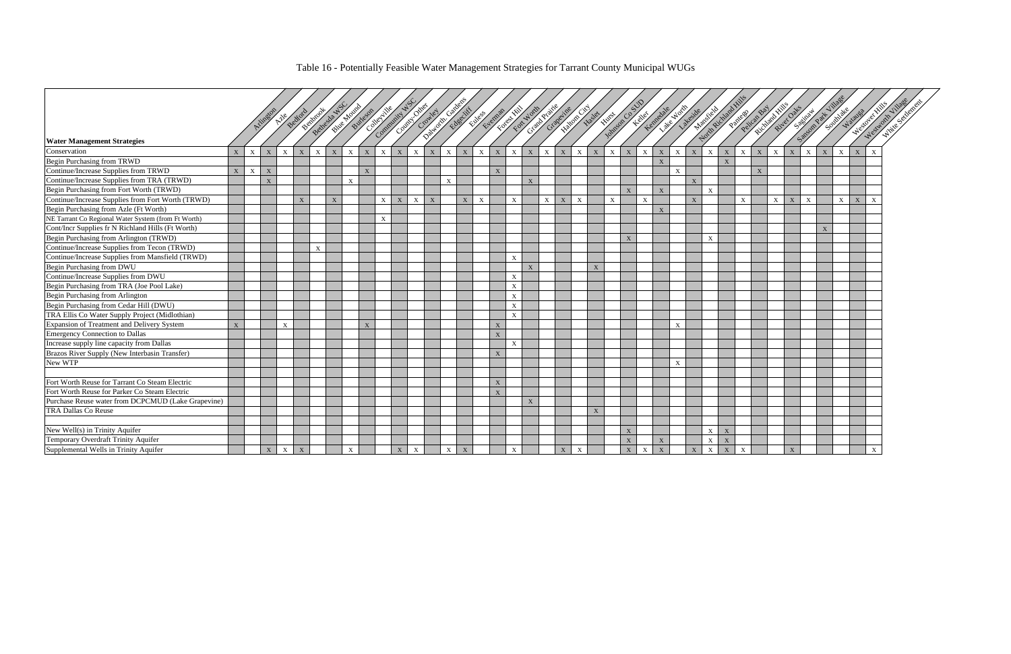## Table 16 - Potentially Feasible Water Management Strategies for Tarrant County Municipal WUGs

|                                                     |              |              |              |                           |                |              | Bettecke NS |                           |   |              |              |              |   | All All Development of the Contract of the Contract of the Contract of the | Eller Florida |              |              |              | Federal Monte Prince |              |              |                           | <b>Watow Haster</b> | Johnson Ca STO |                | Kennedale    |              | Liste North               | Mapsiche    |               |                           |              | Petican Bay | Richland Hills | River Outs   |              |                      | Southwest Water | West of Hills |              | Westworth Village<br>White Schenery |
|-----------------------------------------------------|--------------|--------------|--------------|---------------------------|----------------|--------------|-------------|---------------------------|---|--------------|--------------|--------------|---|----------------------------------------------------------------------------|---------------|--------------|--------------|--------------|----------------------|--------------|--------------|---------------------------|---------------------|----------------|----------------|--------------|--------------|---------------------------|-------------|---------------|---------------------------|--------------|-------------|----------------|--------------|--------------|----------------------|-----------------|---------------|--------------|-------------------------------------|
|                                                     |              |              | Arington     |                           | Beckford       | Bennicoat    |             |                           |   |              |              |              |   |                                                                            |               |              |              |              |                      |              | Grapevine    |                           |                     |                |                | 1 th Mer     |              | Lateside                  |             |               | Pantess                   |              |             |                |              |              |                      |                 |               |              |                                     |
|                                                     |              |              |              |                           |                |              |             |                           |   |              |              |              |   |                                                                            |               |              |              |              |                      |              |              |                           |                     |                |                |              |              |                           |             |               |                           |              |             |                |              |              |                      |                 |               |              |                                     |
| <b>Water Management Strategies</b>                  |              |              |              |                           |                |              |             |                           |   |              |              |              |   |                                                                            |               |              |              |              |                      |              |              |                           |                     |                |                |              |              |                           |             | Notin Richard |                           |              |             |                |              |              | Saturday Rat Village |                 |               |              |                                     |
| Conservation                                        | $\mathbf{X}$ | $\mathbf{x}$ | X            | $\mathbf{X}$              | $\mathbf{X}$   | $\mathbf{X}$ | X           | $\mathbf{X}$              | X | $\mathbf{X}$ | $\mathbf{X}$ | X            | X | $\mathbf{X}$                                                               | X             | $\mathbf{X}$ | X            | $\mathbf{X}$ | X                    | $\mathbf{X}$ | $\bold{X}$   | X                         | X                   | $\mathbf{X}$   | $\mathbf X$    | $\mathbf{X}$ | X            | $\mathbf{X}$              | $\mathbf X$ | $\mathbf{X}$  | $\mathbf{X}$              | $\mathbf X$  | X           | $\mathbf{X}$   | X            | $\mathbf{X}$ | X                    | X               | X             | $\mathbf{X}$ |                                     |
| Begin Purchasing from TRWD                          |              |              |              |                           |                |              |             |                           |   |              |              |              |   |                                                                            |               |              |              |              |                      |              |              |                           |                     |                |                |              | X            |                           |             |               | $\boldsymbol{\mathrm{X}}$ |              |             |                |              |              |                      |                 |               |              |                                     |
| Continue/Increase Supplies from TRWD                | X            | X            | X            |                           |                |              |             |                           | X |              |              |              |   |                                                                            |               |              | $\mathbf{X}$ |              |                      |              |              |                           |                     |                |                |              |              | $\boldsymbol{\mathrm{X}}$ |             |               |                           |              | X           |                |              |              |                      |                 |               |              |                                     |
| Continue/Increase Supplies from TRA (TRWD)          |              |              | $\mathbf X$  |                           |                |              |             | $\mathbf{x}$              |   |              |              |              |   | $\mathbf{X}$                                                               |               |              |              |              | $\mathbf{X}$         |              |              |                           |                     |                |                |              |              |                           | $\mathbf X$ |               |                           |              |             |                |              |              |                      |                 |               |              |                                     |
| Begin Purchasing from Fort Worth (TRWD)             |              |              |              |                           |                |              |             |                           |   |              |              |              |   |                                                                            |               |              |              |              |                      |              |              |                           |                     |                | $\overline{X}$ |              | $\mathbf{X}$ |                           |             | $\mathbf{X}$  |                           |              |             |                |              |              |                      |                 |               |              |                                     |
| Continue/Increase Supplies from Fort Worth (TRWD)   |              |              |              |                           | $\overline{X}$ |              | X           |                           |   | $\mathbf{X}$ | $\mathbf X$  | X            | X |                                                                            | $\mathbf X$   | $\mathbf{X}$ |              | $\mathbf{x}$ |                      | X            | $\bold{X}$   | $\mathbf{X}$              |                     | $\mathbf{X}$   |                | $\mathbf{x}$ |              |                           | $\mathbf X$ |               |                           | $\mathbf{x}$ |             | X              | $\mathbf X$  | $\mathbf{x}$ |                      | $\mathbf{X}$    | $\mathbf X$   | $\mathbf{X}$ |                                     |
| Begin Purchasing from Azle (Ft Worth)               |              |              |              |                           |                |              |             |                           |   |              |              |              |   |                                                                            |               |              |              |              |                      |              |              |                           |                     |                |                |              | X            |                           |             |               |                           |              |             |                |              |              |                      |                 |               |              |                                     |
| NE Tarrant Co Regional Water System (from Ft Worth) |              |              |              |                           |                |              |             |                           |   | $\mathbf{X}$ |              |              |   |                                                                            |               |              |              |              |                      |              |              |                           |                     |                |                |              |              |                           |             |               |                           |              |             |                |              |              |                      |                 |               |              |                                     |
| Cont/Incr Supplies fr N Richland Hills (Ft Worth)   |              |              |              |                           |                |              |             |                           |   |              |              |              |   |                                                                            |               |              |              |              |                      |              |              |                           |                     |                |                |              |              |                           |             |               |                           |              |             |                |              |              | X                    |                 |               |              |                                     |
| Begin Purchasing from Arlington (TRWD)              |              |              |              |                           |                |              |             |                           |   |              |              |              |   |                                                                            |               |              |              |              |                      |              |              |                           |                     |                | $\mathbf{X}$   |              |              |                           |             | $\mathbf{X}$  |                           |              |             |                |              |              |                      |                 |               |              |                                     |
| Continue/Increase Supplies from Tecon (TRWD)        |              |              |              |                           |                | X            |             |                           |   |              |              |              |   |                                                                            |               |              |              |              |                      |              |              |                           |                     |                |                |              |              |                           |             |               |                           |              |             |                |              |              |                      |                 |               |              |                                     |
| Continue/Increase Supplies from Mansfield (TRWD)    |              |              |              |                           |                |              |             |                           |   |              |              |              |   |                                                                            |               |              |              | $\mathbf{x}$ |                      |              |              |                           |                     |                |                |              |              |                           |             |               |                           |              |             |                |              |              |                      |                 |               |              |                                     |
| Begin Purchasing from DWU                           |              |              |              |                           |                |              |             |                           |   |              |              |              |   |                                                                            |               |              |              |              | $\mathbf{x}$         |              |              |                           | $\mathbf{X}$        |                |                |              |              |                           |             |               |                           |              |             |                |              |              |                      |                 |               |              |                                     |
| Continue/Increase Supplies from DWU                 |              |              |              |                           |                |              |             |                           |   |              |              |              |   |                                                                            |               |              |              | $\mathbf{x}$ |                      |              |              |                           |                     |                |                |              |              |                           |             |               |                           |              |             |                |              |              |                      |                 |               |              |                                     |
| Begin Purchasing from TRA (Joe Pool Lake)           |              |              |              |                           |                |              |             |                           |   |              |              |              |   |                                                                            |               |              |              | $\mathbf X$  |                      |              |              |                           |                     |                |                |              |              |                           |             |               |                           |              |             |                |              |              |                      |                 |               |              |                                     |
| Begin Purchasing from Arlington                     |              |              |              |                           |                |              |             |                           |   |              |              |              |   |                                                                            |               |              |              | $\mathbf{X}$ |                      |              |              |                           |                     |                |                |              |              |                           |             |               |                           |              |             |                |              |              |                      |                 |               |              |                                     |
| Begin Purchasing from Cedar Hill (DWU)              |              |              |              |                           |                |              |             |                           |   |              |              |              |   |                                                                            |               |              |              | $\mathbf{X}$ |                      |              |              |                           |                     |                |                |              |              |                           |             |               |                           |              |             |                |              |              |                      |                 |               |              |                                     |
| TRA Ellis Co Water Supply Project (Midlothian)      |              |              |              |                           |                |              |             |                           |   |              |              |              |   |                                                                            |               |              |              | $\mathbf{x}$ |                      |              |              |                           |                     |                |                |              |              |                           |             |               |                           |              |             |                |              |              |                      |                 |               |              |                                     |
| Expansion of Treatment and Delivery System          | $\mathbf{X}$ |              |              | $\mathbf{X}$              |                |              |             |                           | X |              |              |              |   |                                                                            |               |              | X            |              |                      |              |              |                           |                     |                |                |              |              | $\mathbf{X}$              |             |               |                           |              |             |                |              |              |                      |                 |               |              |                                     |
| Emergency Connection to Dallas                      |              |              |              |                           |                |              |             |                           |   |              |              |              |   |                                                                            |               |              | X            |              |                      |              |              |                           |                     |                |                |              |              |                           |             |               |                           |              |             |                |              |              |                      |                 |               |              |                                     |
| Increase supply line capacity from Dallas           |              |              |              |                           |                |              |             |                           |   |              |              |              |   |                                                                            |               |              |              | $\mathbf{X}$ |                      |              |              |                           |                     |                |                |              |              |                           |             |               |                           |              |             |                |              |              |                      |                 |               |              |                                     |
| Brazos River Supply (New Interbasin Transfer)       |              |              |              |                           |                |              |             |                           |   |              |              |              |   |                                                                            |               |              | $\mathbf{X}$ |              |                      |              |              |                           |                     |                |                |              |              |                           |             |               |                           |              |             |                |              |              |                      |                 |               |              |                                     |
| New WTP                                             |              |              |              |                           |                |              |             |                           |   |              |              |              |   |                                                                            |               |              |              |              |                      |              |              |                           |                     |                |                |              |              | $\boldsymbol{\mathrm{X}}$ |             |               |                           |              |             |                |              |              |                      |                 |               |              |                                     |
|                                                     |              |              |              |                           |                |              |             |                           |   |              |              |              |   |                                                                            |               |              |              |              |                      |              |              |                           |                     |                |                |              |              |                           |             |               |                           |              |             |                |              |              |                      |                 |               |              |                                     |
| Fort Worth Reuse for Tarrant Co Steam Electric      |              |              |              |                           |                |              |             |                           |   |              |              |              |   |                                                                            |               |              | X            |              |                      |              |              |                           |                     |                |                |              |              |                           |             |               |                           |              |             |                |              |              |                      |                 |               |              |                                     |
| Fort Worth Reuse for Parker Co Steam Electric       |              |              |              |                           |                |              |             |                           |   |              |              |              |   |                                                                            |               |              | $\mathbf{X}$ |              |                      |              |              |                           |                     |                |                |              |              |                           |             |               |                           |              |             |                |              |              |                      |                 |               |              |                                     |
| Purchase Reuse water from DCPCMUD (Lake Grapevine)  |              |              |              |                           |                |              |             |                           |   |              |              |              |   |                                                                            |               |              |              |              | $\mathbf X$          |              |              |                           |                     |                |                |              |              |                           |             |               |                           |              |             |                |              |              |                      |                 |               |              |                                     |
| TRA Dallas Co Reuse                                 |              |              |              |                           |                |              |             |                           |   |              |              |              |   |                                                                            |               |              |              |              |                      |              |              |                           | X                   |                |                |              |              |                           |             |               |                           |              |             |                |              |              |                      |                 |               |              |                                     |
|                                                     |              |              |              |                           |                |              |             |                           |   |              |              |              |   |                                                                            |               |              |              |              |                      |              |              |                           |                     |                |                |              |              |                           |             |               |                           |              |             |                |              |              |                      |                 |               |              |                                     |
| New Well(s) in Trinity Aquifer                      |              |              |              |                           |                |              |             |                           |   |              |              |              |   |                                                                            |               |              |              |              |                      |              |              |                           |                     |                | X              |              |              |                           |             | X             | $\mathbf{X}$              |              |             |                |              |              |                      |                 |               |              |                                     |
| Temporary Overdraft Trinity Aquifer                 |              |              |              |                           |                |              |             |                           |   |              |              |              |   |                                                                            |               |              |              |              |                      |              |              |                           |                     |                | X              |              | $\mathbf X$  |                           |             | $\mathbf X$   | $\boldsymbol{\mathrm{X}}$ |              |             |                |              |              |                      |                 |               |              |                                     |
| Supplemental Wells in Trinity Aquifer               |              |              | $\mathbf{X}$ | $\boldsymbol{\mathrm{X}}$ | X              |              |             | $\boldsymbol{\mathrm{X}}$ |   |              | $\mathbf{X}$ | $\mathbf{X}$ |   | $\boldsymbol{\mathrm{X}}$                                                  | X             |              |              | X            |                      |              | $\mathbf{X}$ | $\boldsymbol{\mathrm{X}}$ |                     |                | X              | $\mathbf{X}$ | X            |                           | $\mathbf X$ | $\mathbf X$   | X                         |              |             |                | $\mathbf{X}$ |              |                      |                 |               |              |                                     |